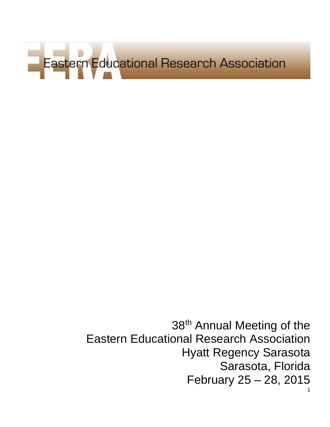

1 38<sup>th</sup> Annual Meeting of the Eastern Educational Research Association Hyatt Regency Sarasota Sarasota, Florida February 25 – 28, 2015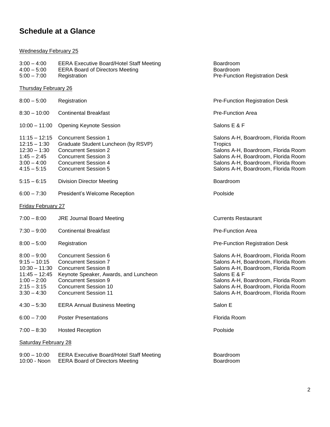# **Schedule at a Glance**

#### Wednesday February 25

| $3:00 - 4:00$<br>$4:00 - 5:00$<br>$5:00 - 7:00$                                                                          | <b>EERA Executive Board/Hotel Staff Meeting</b><br><b>EERA Board of Directors Meeting</b><br>Registration                                                                                                                         | Boardroom<br>Boardroom<br><b>Pre-Function Registration Desk</b>                                                                                                                                                                                        |
|--------------------------------------------------------------------------------------------------------------------------|-----------------------------------------------------------------------------------------------------------------------------------------------------------------------------------------------------------------------------------|--------------------------------------------------------------------------------------------------------------------------------------------------------------------------------------------------------------------------------------------------------|
| <b>Thursday February 26</b>                                                                                              |                                                                                                                                                                                                                                   |                                                                                                                                                                                                                                                        |
| $8:00 - 5:00$                                                                                                            | Registration                                                                                                                                                                                                                      | <b>Pre-Function Registration Desk</b>                                                                                                                                                                                                                  |
| $8:30 - 10:00$                                                                                                           | <b>Continental Breakfast</b>                                                                                                                                                                                                      | <b>Pre-Function Area</b>                                                                                                                                                                                                                               |
| $10:00 - 11:00$                                                                                                          | <b>Opening Keynote Session</b>                                                                                                                                                                                                    | Salons E & F                                                                                                                                                                                                                                           |
| $11:15 - 12:15$<br>$12:15 - 1:30$<br>$12:30 - 1:30$<br>$1:45 - 2:45$<br>$3:00 - 4:00$<br>$4:15 - 5:15$                   | <b>Concurrent Session 1</b><br>Graduate Student Luncheon (by RSVP)<br><b>Concurrent Session 2</b><br><b>Concurrent Session 3</b><br><b>Concurrent Session 4</b><br><b>Concurrent Session 5</b>                                    | Salons A-H, Boardroom, Florida Room<br><b>Tropics</b><br>Salons A-H, Boardroom, Florida Room<br>Salons A-H, Boardroom, Florida Room<br>Salons A-H, Boardroom, Florida Room<br>Salons A-H, Boardroom, Florida Room                                      |
| $5:15 - 6:15$                                                                                                            | <b>Division Director Meeting</b>                                                                                                                                                                                                  | Boardroom                                                                                                                                                                                                                                              |
| $6:00 - 7:30$                                                                                                            | President's Welcome Reception                                                                                                                                                                                                     | Poolside                                                                                                                                                                                                                                               |
| <b>Friday February 27</b>                                                                                                |                                                                                                                                                                                                                                   |                                                                                                                                                                                                                                                        |
| $7:00 - 8:00$                                                                                                            | <b>JRE Journal Board Meeting</b>                                                                                                                                                                                                  | <b>Currents Restaurant</b>                                                                                                                                                                                                                             |
| $7:30 - 9:00$                                                                                                            | <b>Continental Breakfast</b>                                                                                                                                                                                                      | <b>Pre-Function Area</b>                                                                                                                                                                                                                               |
| $8:00 - 5:00$                                                                                                            | Registration                                                                                                                                                                                                                      | <b>Pre-Function Registration Desk</b>                                                                                                                                                                                                                  |
| $8:00 - 9:00$<br>$9:15 - 10:15$<br>$10:30 - 11:30$<br>$11:45 - 12:45$<br>$1:00 - 2:00$<br>$2:15 - 3:15$<br>$3:30 - 4:30$ | <b>Concurrent Session 6</b><br><b>Concurrent Session 7</b><br><b>Concurrent Session 8</b><br>Keynote Speaker, Awards, and Luncheon<br><b>Concurrent Session 9</b><br><b>Concurrent Session 10</b><br><b>Concurrent Session 11</b> | Salons A-H, Boardroom, Florida Room<br>Salons A-H, Boardroom, Florida Room<br>Salons A-H, Boardroom, Florida Room<br>Salons E & F<br>Salons A-H, Boardroom, Florida Room<br>Salons A-H, Boardroom, Florida Room<br>Salons A-H, Boardroom, Florida Room |
| $4:30 - 5:30$                                                                                                            | <b>EERA Annual Business Meeting</b>                                                                                                                                                                                               | Salon E                                                                                                                                                                                                                                                |
| $6:00 - 7:00$                                                                                                            | <b>Poster Presentations</b>                                                                                                                                                                                                       | Florida Room                                                                                                                                                                                                                                           |
| $7:00 - 8:30$                                                                                                            | <b>Hosted Reception</b>                                                                                                                                                                                                           | Poolside                                                                                                                                                                                                                                               |
| <b>Saturday February 28</b>                                                                                              |                                                                                                                                                                                                                                   |                                                                                                                                                                                                                                                        |
| $9:00 - 10:00$<br>10:00 - Noon                                                                                           | <b>EERA Executive Board/Hotel Staff Meeting</b><br><b>EERA Board of Directors Meeting</b>                                                                                                                                         | Boardroom<br>Boardroom                                                                                                                                                                                                                                 |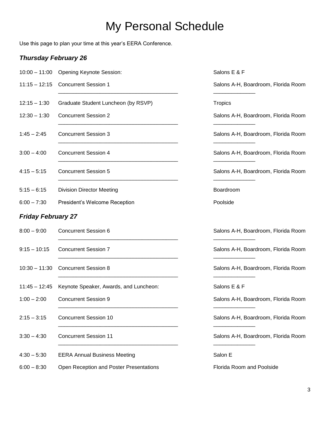# My Personal Schedule

Use this page to plan your time at this year's EERA Conference.

### *Thursday February 26*

|                           | 10:00 - 11:00 Opening Keynote Session:  | Salons E & F                        |
|---------------------------|-----------------------------------------|-------------------------------------|
| $11:15 - 12:15$           | <b>Concurrent Session 1</b>             | Salons A-H, Boardroom, Florida Room |
| $12:15 - 1:30$            | Graduate Student Luncheon (by RSVP)     | Tropics                             |
| $12:30 - 1:30$            | <b>Concurrent Session 2</b>             | Salons A-H, Boardroom, Florida Room |
| $1:45 - 2:45$             | <b>Concurrent Session 3</b>             | Salons A-H, Boardroom, Florida Room |
| $3:00 - 4:00$             | <b>Concurrent Session 4</b>             | Salons A-H, Boardroom, Florida Room |
| $4:15 - 5:15$             | <b>Concurrent Session 5</b>             | Salons A-H, Boardroom, Florida Room |
| $5:15 - 6:15$             | <b>Division Director Meeting</b>        | Boardroom                           |
| $6:00 - 7:30$             | President's Welcome Reception           | Poolside                            |
| <b>Friday February 27</b> |                                         |                                     |
| $8:00 - 9:00$             | <b>Concurrent Session 6</b>             | Salons A-H, Boardroom, Florida Room |
| $9:15 - 10:15$            | <b>Concurrent Session 7</b>             | Salons A-H, Boardroom, Florida Room |
| $10:30 - 11:30$           | <b>Concurrent Session 8</b>             | Salons A-H, Boardroom, Florida Room |
| $11:45 - 12:45$           | Keynote Speaker, Awards, and Luncheon:  | Salons E & F                        |
| $1:00 - 2:00$             | <b>Concurrent Session 9</b>             | Salons A-H, Boardroom, Florida Room |
| $2:15 - 3:15$             | <b>Concurrent Session 10</b>            | Salons A-H, Boardroom, Florida Room |
| $3:30 - 4:30$             | <b>Concurrent Session 11</b>            | Salons A-H, Boardroom, Florida Room |
| $4:30 - 5:30$             | <b>EERA Annual Business Meeting</b>     | Salon E                             |
| $6:00 - 8:30$             | Open Reception and Poster Presentations | Florida Room and Poolside           |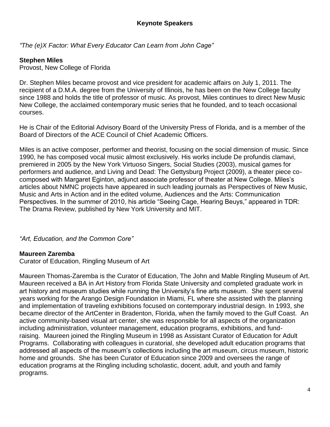*"The (e)X Factor: What Every Educator Can Learn from John Cage"*

#### **Stephen Miles**

Provost, New College of Florida

Dr. Stephen Miles became provost and vice president for academic affairs on July 1, 2011. The recipient of a D.M.A. degree from the University of Illinois, he has been on the New College faculty since 1988 and holds the title of professor of music. As provost, Miles continues to direct New Music New College, the acclaimed contemporary music series that he founded, and to teach occasional courses.

He is Chair of the Editorial Advisory Board of the University Press of Florida, and is a member of the Board of Directors of the ACE Council of Chief Academic Officers.

Miles is an active composer, performer and theorist, focusing on the social dimension of music. Since 1990, he has composed vocal music almost exclusively. His works include De profundis clamavi, premiered in 2005 by the New York Virtuoso Singers, Social Studies (2003), musical games for performers and audience, and Living and Dead: The Gettysburg Project (2009), a theater piece cocomposed with Margaret Eginton, adjunct associate professor of theater at New College. Miles's articles about NMNC projects have appeared in such leading journals as Perspectives of New Music, Music and Arts in Action and in the edited volume, Audiences and the Arts: Communication Perspectives. In the summer of 2010, his article "Seeing Cage, Hearing Beuys," appeared in TDR: The Drama Review, published by New York University and MIT.

*"Art, Education, and the Common Core"*

#### **Maureen Zaremba**

Curator of Education, Ringling Museum of Art

Maureen Thomas-Zaremba is the Curator of Education, The John and Mable Ringling Museum of Art. Maureen received a BA in Art History from Florida State University and completed graduate work in art history and museum studies while running the University's fine arts museum. She spent several years working for the Arango Design Foundation in Miami, FL where she assisted with the planning and implementation of traveling exhibitions focused on contemporary industrial design. In 1993, she became director of the ArtCenter in Bradenton, Florida, when the family moved to the Gulf Coast. An active community-based visual art center, she was responsible for all aspects of the organization including administration, volunteer management, education programs, exhibitions, and fundraising. Maureen joined the Ringling Museum in 1998 as Assistant Curator of Education for Adult Programs. Collaborating with colleagues in curatorial, she developed adult education programs that addressed all aspects of the museum's collections including the art museum, circus museum, historic home and grounds. She has been Curator of Education since 2009 and oversees the range of education programs at the Ringling including scholastic, docent, adult, and youth and family programs.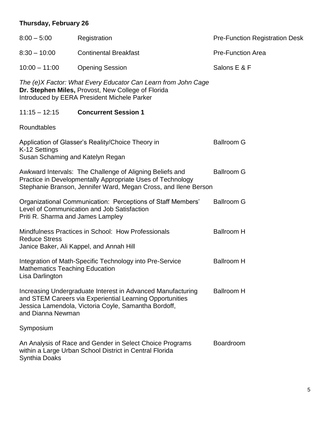# **Thursday, February 26**

| $8:00 - 5:00$                                            | Registration                                                                                                                                                                              | <b>Pre-Function Registration Desk</b> |
|----------------------------------------------------------|-------------------------------------------------------------------------------------------------------------------------------------------------------------------------------------------|---------------------------------------|
| $8:30 - 10:00$                                           | <b>Continental Breakfast</b>                                                                                                                                                              | <b>Pre-Function Area</b>              |
| $10:00 - 11:00$                                          | <b>Opening Session</b>                                                                                                                                                                    | Salons E & F                          |
|                                                          | The (e)X Factor: What Every Educator Can Learn from John Cage<br>Dr. Stephen Miles, Provost, New College of Florida<br>Introduced by EERA President Michele Parker                        |                                       |
| $11:15 - 12:15$                                          | <b>Concurrent Session 1</b>                                                                                                                                                               |                                       |
| Roundtables                                              |                                                                                                                                                                                           |                                       |
| K-12 Settings<br>Susan Schaming and Katelyn Regan        | Application of Glasser's Reality/Choice Theory in                                                                                                                                         | <b>Ballroom G</b>                     |
|                                                          | Awkward Intervals: The Challenge of Aligning Beliefs and<br>Practice in Developmentally Appropriate Uses of Technology<br>Stephanie Branson, Jennifer Ward, Megan Cross, and Ilene Berson | <b>Ballroom G</b>                     |
| Priti R. Sharma and James Lampley                        | Organizational Communication: Perceptions of Staff Members'<br>Level of Communication and Job Satisfaction                                                                                | <b>Ballroom G</b>                     |
| <b>Reduce Stress</b>                                     | Mindfulness Practices in School: How Professionals<br>Janice Baker, Ali Kappel, and Annah Hill                                                                                            | <b>Ballroom H</b>                     |
| <b>Mathematics Teaching Education</b><br>Lisa Darlington | Integration of Math-Specific Technology into Pre-Service                                                                                                                                  | <b>Ballroom H</b>                     |
| and Dianna Newman                                        | Increasing Undergraduate Interest in Advanced Manufacturing<br>and STEM Careers via Experiential Learning Opportunities<br>Jessica Lamendola, Victoria Coyle, Samantha Bordoff,           | <b>Ballroom H</b>                     |
| Symposium                                                |                                                                                                                                                                                           |                                       |
| <b>Synthia Doaks</b>                                     | An Analysis of Race and Gender in Select Choice Programs<br>within a Large Urban School District in Central Florida                                                                       | <b>Boardroom</b>                      |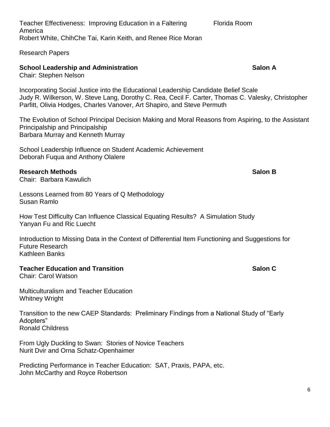Teacher Effectiveness: Improving Education in a Faltering Florida Room America Robert White, ChihChe Tai, Karin Keith, and Renee Rice Moran

Research Papers

# **School Leadership and Administration School Leadership and Administration Salon A**

Chair: Stephen Nelson

Incorporating Social Justice into the Educational Leadership Candidate Belief Scale Judy R. Wilkerson, W. Steve Lang, Dorothy C. Rea, Cecil F. Carter, Thomas C. Valesky, Christopher Parfitt, Olivia Hodges, Charles Vanover, Art Shapiro, and Steve Permuth

The Evolution of School Principal Decision Making and Moral Reasons from Aspiring, to the Assistant Principalship and Principalship Barbara Murray and Kenneth Murray

School Leadership Influence on Student Academic Achievement Deborah Fuqua and Anthony Olalere

#### **Research Methods Salon B**

Chair: Barbara Kawulich

Lessons Learned from 80 Years of Q Methodology Susan Ramlo

How Test Difficulty Can Influence Classical Equating Results? A Simulation Study Yanyan Fu and Ric Luecht

Introduction to Missing Data in the Context of Differential Item Functioning and Suggestions for Future Research Kathleen Banks

#### **Teacher Education and Transition Salon C**

Chair: Carol Watson

Multiculturalism and Teacher Education Whitney Wright

Transition to the new CAEP Standards: Preliminary Findings from a National Study of "Early Adopters" Ronald Childress

From Ugly Duckling to Swan: Stories of Novice Teachers Nurit Dvir and Orna Schatz-Openhaimer

Predicting Performance in Teacher Education: SAT, Praxis, PAPA, etc. John McCarthy and Royce Robertson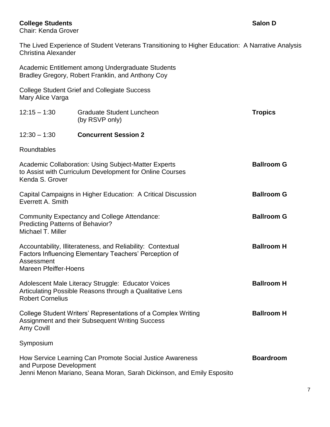### **College Students Salon D**

Chair: Kenda Grover

The Lived Experience of Student Veterans Transitioning to Higher Education: A Narrative Analysis Christina Alexander

|                                                              | Academic Entitlement among Undergraduate Students<br>Bradley Gregory, Robert Franklin, and Anthony Coy                             |                   |
|--------------------------------------------------------------|------------------------------------------------------------------------------------------------------------------------------------|-------------------|
| Mary Alice Varga                                             | <b>College Student Grief and Collegiate Success</b>                                                                                |                   |
| $12:15 - 1:30$                                               | <b>Graduate Student Luncheon</b><br>(by RSVP only)                                                                                 | <b>Tropics</b>    |
| $12:30 - 1:30$                                               | <b>Concurrent Session 2</b>                                                                                                        |                   |
| Roundtables                                                  |                                                                                                                                    |                   |
| Kenda S. Grover                                              | <b>Academic Collaboration: Using Subject-Matter Experts</b><br>to Assist with Curriculum Development for Online Courses            | <b>Ballroom G</b> |
| Everrett A. Smith                                            | Capital Campaigns in Higher Education: A Critical Discussion                                                                       | <b>Ballroom G</b> |
| <b>Predicting Patterns of Behavior?</b><br>Michael T. Miller | <b>Community Expectancy and College Attendance:</b>                                                                                | <b>Ballroom G</b> |
| Assessment<br><b>Mareen Pfeiffer-Hoens</b>                   | Accountability, Illiterateness, and Reliability: Contextual<br>Factors Influencing Elementary Teachers' Perception of              | <b>Ballroom H</b> |
| <b>Robert Cornelius</b>                                      | Adolescent Male Literacy Struggle: Educator Voices<br>Articulating Possible Reasons through a Qualitative Lens                     | <b>Ballroom H</b> |
| Amy Covill                                                   | College Student Writers' Representations of a Complex Writing<br>Assignment and their Subsequent Writing Success                   | <b>Ballroom H</b> |
| Symposium                                                    |                                                                                                                                    |                   |
| and Purpose Development                                      | How Service Learning Can Promote Social Justice Awareness<br>Jenni Menon Mariano, Seana Moran, Sarah Dickinson, and Emily Esposito | <b>Boardroom</b>  |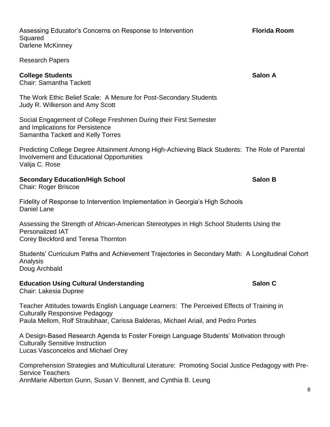| <b>College Students</b><br><b>Chair: Samantha Tackett</b>                                                                                                                                                               | <b>Salon A</b> |
|-------------------------------------------------------------------------------------------------------------------------------------------------------------------------------------------------------------------------|----------------|
| The Work Ethic Belief Scale: A Mesure for Post-Secondary Students<br>Judy R. Wilkerson and Amy Scott                                                                                                                    |                |
| Social Engagement of College Freshmen During their First Semester<br>and Implications for Persistence<br>Samantha Tackett and Kelly Torres                                                                              |                |
| Predicting College Degree Attainment Among High-Achieving Black Students: The Role of Parental<br><b>Involvement and Educational Opportunities</b><br>Valija C. Rose                                                    |                |
| <b>Secondary Education/High School</b><br><b>Chair: Roger Briscoe</b>                                                                                                                                                   | <b>Salon B</b> |
| Fidelity of Response to Intervention Implementation in Georgia's High Schools<br><b>Daniel Lane</b>                                                                                                                     |                |
| Assessing the Strength of African-American Stereotypes in High School Students Using the<br><b>Personalized IAT</b><br>Corey Beckford and Teresa Thornton                                                               |                |
| Students' Curriculum Paths and Achievement Trajectories in Secondary Math: A Longitudinal Cohort<br>Analysis<br>Doug Archbald                                                                                           |                |
| <b>Education Using Cultural Understanding</b><br>Chair: Lakesia Dupree                                                                                                                                                  | Salon C        |
| Teacher Attitudes towards English Language Learners: The Perceived Effects of Training in<br><b>Culturally Responsive Pedagogy</b><br>Paula Mellom, Rolf Straubhaar, Carissa Balderas, Michael Ariail, and Pedro Portes |                |
| A Design-Based Research Agenda to Foster Foreign Language Students' Motivation through<br><b>Culturally Sensitive Instruction</b><br>Lucas Vasconcelos and Michael Orey                                                 |                |
| Comprehension Strategies and Multicultural Literature: Promoting Social Justice Pedagogy with Pre-<br><b>Service Teachers</b><br>AnnMarie Alberton Gunn, Susan V. Bennett, and Cynthia B. Leung                         |                |

Assessing Educator's Concerns on Response to Intervention **Florida Room** Squared Darlene McKinney

Research Papers

8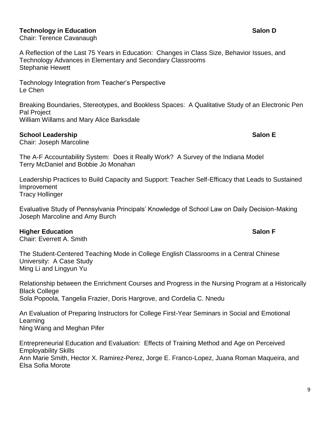### **Technology in Education Salon D**

Chair: Terence Cavanaugh

A Reflection of the Last 75 Years in Education: Changes in Class Size, Behavior Issues, and Technology Advances in Elementary and Secondary Classrooms Stephanie Hewett

Technology Integration from Teacher's Perspective Le Chen

Breaking Boundaries, Stereotypes, and Bookless Spaces: A Qualitative Study of an Electronic Pen Pal Project William Willams and Mary Alice Barksdale

### **School Leadership Salon E**

Chair: Joseph Marcoline

The A-F Accountability System: Does it Really Work? A Survey of the Indiana Model Terry McDaniel and Bobbie Jo Monahan

Leadership Practices to Build Capacity and Support: Teacher Self-Efficacy that Leads to Sustained Improvement Tracy Hollinger

Evaluative Study of Pennsylvania Principals' Knowledge of School Law on Daily Decision-Making Joseph Marcoline and Amy Burch

#### **Higher Education Salon F**

Chair: Everrett A. Smith

The Student-Centered Teaching Mode in College English Classrooms in a Central Chinese University: A Case Study Ming Li and Lingyun Yu

Relationship between the Enrichment Courses and Progress in the Nursing Program at a Historically Black College Sola Popoola, Tangelia Frazier, Doris Hargrove, and Cordelia C. Nnedu

An Evaluation of Preparing Instructors for College First-Year Seminars in Social and Emotional Learning Ning Wang and Meghan Pifer

Entrepreneurial Education and Evaluation: Effects of Training Method and Age on Perceived Employability Skills Ann Marie Smith, Hector X. Ramirez-Perez, Jorge E. Franco-Lopez, Juana Roman Maqueira, and Elsa Sofia Morote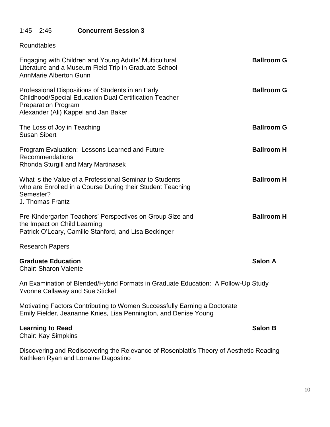# 1:45 – 2:45 **Concurrent Session 3**

### Roundtables

| Engaging with Children and Young Adults' Multicultural<br>Literature and a Museum Field Trip in Graduate School<br><b>AnnMarie Alberton Gunn</b>                                         | <b>Ballroom G</b> |
|------------------------------------------------------------------------------------------------------------------------------------------------------------------------------------------|-------------------|
| Professional Dispositions of Students in an Early<br><b>Childhood/Special Education Dual Certification Teacher</b><br><b>Preparation Program</b><br>Alexander (Ali) Kappel and Jan Baker | <b>Ballroom G</b> |
| The Loss of Joy in Teaching<br><b>Susan Sibert</b>                                                                                                                                       | <b>Ballroom G</b> |
| Program Evaluation: Lessons Learned and Future<br>Recommendations<br>Rhonda Sturgill and Mary Martinasek                                                                                 | <b>Ballroom H</b> |
| What is the Value of a Professional Seminar to Students<br>who are Enrolled in a Course During their Student Teaching<br>Semester?<br>J. Thomas Frantz                                   | <b>Ballroom H</b> |
| Pre-Kindergarten Teachers' Perspectives on Group Size and<br>the Impact on Child Learning<br>Patrick O'Leary, Camille Stanford, and Lisa Beckinger                                       | <b>Ballroom H</b> |
| <b>Research Papers</b>                                                                                                                                                                   |                   |
| <b>Graduate Education</b><br><b>Chair: Sharon Valente</b>                                                                                                                                | <b>Salon A</b>    |
| An Examination of Blended/Hybrid Formats in Graduate Education: A Follow-Up Study<br><b>Yvonne Callaway and Sue Stickel</b>                                                              |                   |
| Motivating Factors Contributing to Women Successfully Earning a Doctorate<br>Emily Fielder, Jeananne Knies, Lisa Pennington, and Denise Young                                            |                   |
| <b>Learning to Read</b><br><b>Chair: Kay Simpkins</b>                                                                                                                                    | <b>Salon B</b>    |
| Discovering and Rediscovering the Relevance of Rosenblatt's Theory of Aesthetic Reading<br>Kathleen Ryan and Lorraine Dagostino                                                          |                   |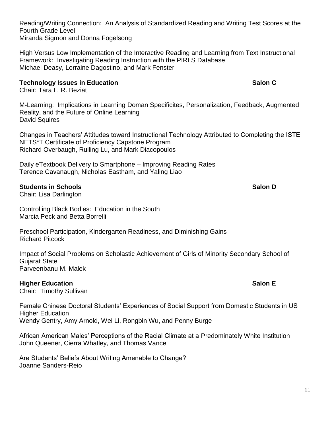Reading/Writing Connection: An Analysis of Standardized Reading and Writing Test Scores at the Fourth Grade Level Miranda Sigmon and Donna Fogelsong

High Versus Low Implementation of the Interactive Reading and Learning from Text Instructional Framework: Investigating Reading Instruction with the PIRLS Database Michael Deasy, Lorraine Dagostino, and Mark Fenster

#### **Technology Issues in Education Salon C Salon C**

Chair: Tara L. R. Beziat

M-Learning: Implications in Learning Doman Specificites, Personalization, Feedback, Augmented Reality, and the Future of Online Learning David Squires

Changes in Teachers' Attitudes toward Instructional Technology Attributed to Completing the ISTE NETS\*T Certificate of Proficiency Capstone Program Richard Overbaugh, Ruiling Lu, and Mark Diacopoulos

Daily eTextbook Delivery to Smartphone – Improving Reading Rates Terence Cavanaugh, Nicholas Eastham, and Yaling Liao

#### **Students in Schools Salon D**

Chair: Lisa Darlington

Controlling Black Bodies: Education in the South Marcia Peck and Betta Borrelli

Preschool Participation, Kindergarten Readiness, and Diminishing Gains Richard Pitcock

Impact of Social Problems on Scholastic Achievement of Girls of Minority Secondary School of Gujarat State Parveenbanu M. Malek

#### **Higher Education Salon E**

Chair: Timothy Sullivan

Female Chinese Doctoral Students' Experiences of Social Support from Domestic Students in US Higher Education Wendy Gentry, Amy Arnold, Wei Li, Rongbin Wu, and Penny Burge

African American Males' Perceptions of the Racial Climate at a Predominately White Institution John Queener, Cierra Whatley, and Thomas Vance

Are Students' Beliefs About Writing Amenable to Change? Joanne Sanders-Reio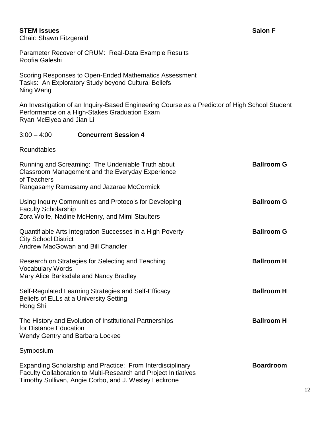#### **STEM Issues Salon F**

Chair: Shawn Fitzgerald

Parameter Recover of CRUM: Real-Data Example Results Roofia Galeshi

Scoring Responses to Open-Ended Mathematics Assessment Tasks: An Exploratory Study beyond Cultural Beliefs Ning Wang

An Investigation of an Inquiry-Based Engineering Course as a Predictor of High School Student Performance on a High-Stakes Graduation Exam Ryan McElyea and Jian Li

#### 3:00 – 4:00 **Concurrent Session 4**

Roundtables

| Running and Screaming: The Undeniable Truth about<br>Classroom Management and the Everyday Experience<br>of Teachers<br>Rangasamy Ramasamy and Jazarae McCormick                       | <b>Ballroom G</b> |
|----------------------------------------------------------------------------------------------------------------------------------------------------------------------------------------|-------------------|
| Using Inquiry Communities and Protocols for Developing<br><b>Faculty Scholarship</b><br>Zora Wolfe, Nadine McHenry, and Mimi Staulters                                                 | <b>Ballroom G</b> |
| Quantifiable Arts Integration Successes in a High Poverty<br><b>City School District</b><br>Andrew MacGowan and Bill Chandler                                                          | <b>Ballroom G</b> |
| Research on Strategies for Selecting and Teaching<br><b>Vocabulary Words</b><br>Mary Alice Barksdale and Nancy Bradley                                                                 | <b>Ballroom H</b> |
| Self-Regulated Learning Strategies and Self-Efficacy<br>Beliefs of ELLs at a University Setting<br>Hong Shi                                                                            | <b>Ballroom H</b> |
| The History and Evolution of Institutional Partnerships<br>for Distance Education<br><b>Wendy Gentry and Barbara Lockee</b>                                                            | <b>Ballroom H</b> |
| Symposium                                                                                                                                                                              |                   |
| Expanding Scholarship and Practice: From Interdisciplinary<br>Faculty Collaboration to Multi-Research and Project Initiatives<br>Timothy Sullivan, Angie Corbo, and J. Wesley Leckrone | <b>Boardroom</b>  |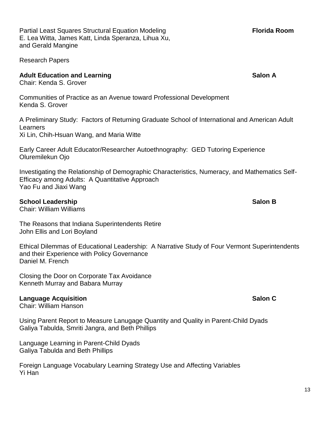Partial Least Squares Structural Equation Modeling **Florida Room** E. Lea Witta, James Katt, Linda Speranza, Lihua Xu, and Gerald Mangine

Research Papers

#### **Adult Education and Learning <b>Salon A** Adult Education and Learning **Salon A**

Chair: Kenda S. Grover

Communities of Practice as an Avenue toward Professional Development Kenda S. Grover

A Preliminary Study: Factors of Returning Graduate School of International and American Adult Learners Xi Lin, Chih-Hsuan Wang, and Maria Witte

Early Career Adult Educator/Researcher Autoethnography: GED Tutoring Experience Oluremilekun Ojo

Investigating the Relationship of Demographic Characteristics, Numeracy, and Mathematics Self-Efficacy among Adults: A Quantitative Approach Yao Fu and Jiaxi Wang

#### **School Leadership Salon B Salon B Salon B Salon B SALON B SALON B SALON B**

Chair: William Williams

The Reasons that Indiana Superintendents Retire John Ellis and Lori Boyland

Ethical Dilemmas of Educational Leadership: A Narrative Study of Four Vermont Superintendents and their Experience with Policy Governance Daniel M. French

Closing the Door on Corporate Tax Avoidance Kenneth Murray and Babara Murray

#### **Language Acquisition Salon C**

Chair: William Hanson

Using Parent Report to Measure Lanugage Quantity and Quality in Parent-Child Dyads Galiya Tabulda, Smriti Jangra, and Beth Phillips

Language Learning in Parent-Child Dyads Galiya Tabulda and Beth Phillips

Foreign Language Vocabulary Learning Strategy Use and Affecting Variables Yi Han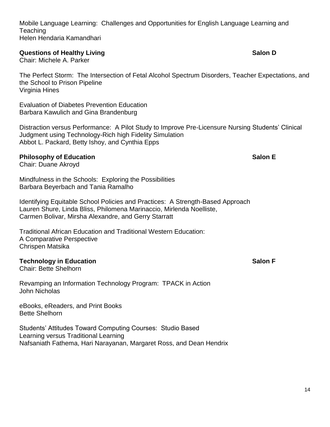Mobile Language Learning: Challenges and Opportunities for English Language Learning and **Teaching** Helen Hendaria Kamandhari

**Discrete Salonary Constructions of Healthy Living <b>Salon D Salon D Salon D** 

Chair: Michele A. Parker

The Perfect Storm: The Intersection of Fetal Alcohol Spectrum Disorders, Teacher Expectations, and the School to Prison Pipeline Virginia Hines

Evaluation of Diabetes Prevention Education Barbara Kawulich and Gina Brandenburg

Distraction versus Performance: A Pilot Study to Improve Pre-Licensure Nursing Students' Clinical Judgment using Technology-Rich high Fidelity Simulation Abbot L. Packard, Betty Ishoy, and Cynthia Epps

#### **Philosophy of Education Salon E**

Chair: Duane Akroyd

Mindfulness in the Schools: Exploring the Possibilities Barbara Beyerbach and Tania Ramalho

Identifying Equitable School Policies and Practices: A Strength-Based Approach Lauren Shure, Linda Bliss, Philomena Marinaccio, Mirlenda Noelliste, Carmen Bolivar, Mirsha Alexandre, and Gerry Starratt

Traditional African Education and Traditional Western Education: A Comparative Perspective Chrispen Matsika

#### **Technology in Education Salon F**

Chair: Bette Shelhorn

Revamping an Information Technology Program: TPACK in Action John Nicholas

eBooks, eReaders, and Print Books Bette Shelhorn

Students' Attitudes Toward Computing Courses: Studio Based Learning versus Traditional Learning Nafsaniath Fathema, Hari Narayanan, Margaret Ross, and Dean Hendrix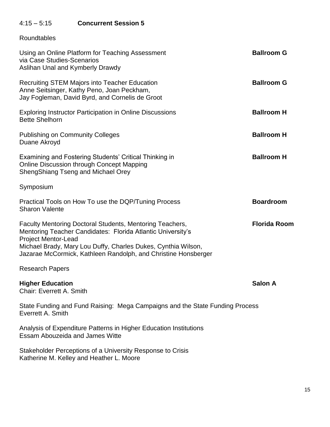# 4:15 – 5:15 **Concurrent Session 5**

Roundtables

| Using an Online Platform for Teaching Assessment<br>via Case Studies-Scenarios<br>Aslihan Unal and Kymberly Drawdy                                                                                                                                                                       | <b>Ballroom G</b>   |
|------------------------------------------------------------------------------------------------------------------------------------------------------------------------------------------------------------------------------------------------------------------------------------------|---------------------|
| <b>Recruiting STEM Majors into Teacher Education</b><br>Anne Seitsinger, Kathy Peno, Joan Peckham,<br>Jay Fogleman, David Byrd, and Cornelis de Groot                                                                                                                                    | <b>Ballroom G</b>   |
| <b>Exploring Instructor Participation in Online Discussions</b><br><b>Bette Shelhorn</b>                                                                                                                                                                                                 | <b>Ballroom H</b>   |
| <b>Publishing on Community Colleges</b><br>Duane Akroyd                                                                                                                                                                                                                                  | <b>Ballroom H</b>   |
| Examining and Fostering Students' Critical Thinking in<br>Online Discussion through Concept Mapping<br>ShengShiang Tseng and Michael Orey                                                                                                                                                | <b>Ballroom H</b>   |
| Symposium                                                                                                                                                                                                                                                                                |                     |
| Practical Tools on How To use the DQP/Tuning Process<br><b>Sharon Valente</b>                                                                                                                                                                                                            | <b>Boardroom</b>    |
| Faculty Mentoring Doctoral Students, Mentoring Teachers,<br>Mentoring Teacher Candidates: Florida Atlantic University's<br><b>Project Mentor-Lead</b><br>Michael Brady, Mary Lou Duffy, Charles Dukes, Cynthia Wilson,<br>Jazarae McCormick, Kathleen Randolph, and Christine Honsberger | <b>Florida Room</b> |
| <b>Research Papers</b>                                                                                                                                                                                                                                                                   |                     |
| <b>Higher Education</b><br><b>Chair: Everrett A. Smith</b>                                                                                                                                                                                                                               | <b>Salon A</b>      |
| State Funding and Fund Raising: Mega Campaigns and the State Funding Process<br>Everrett A. Smith                                                                                                                                                                                        |                     |
| Analysis of Expenditure Patterns in Higher Education Institutions<br><b>Essam Abouzeida and James Witte</b>                                                                                                                                                                              |                     |
| Stakeholder Perceptions of a University Response to Crisis<br>Katherine M. Kelley and Heather L. Moore                                                                                                                                                                                   |                     |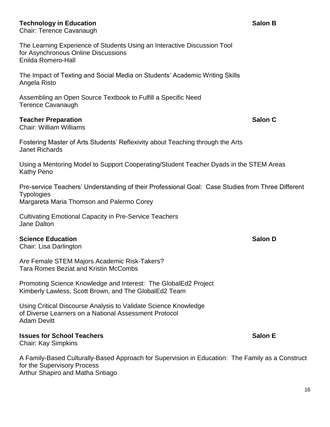#### **Technology in Education Salon B**

Chair: Terence Cavanaugh

The Learning Experience of Students Using an Interactive Discussion Tool for Asynchronous Online Discussions Enilda Romero-Hall

The Impact of Texting and Social Media on Students' Academic Writing Skills Angela Risto

Assembling an Open Source Textbook to Fulfill a Specific Need Terence Cavanaugh

#### **Teacher Preparation Salon C**

Chair: William Williams

Fostering Master of Arts Students' Reflexivity about Teaching through the Arts Janet Richards

Using a Mentoring Model to Support Cooperating/Student Teacher Dyads in the STEM Areas Kathy Peno

Pre-service Teachers' Understanding of their Professional Goal: Case Studies from Three Different **Typologies** Margareta Maria Thomson and Palermo Corey

Cultivating Emotional Capacity in Pre-Service Teachers Jane Dalton

#### **Science Education Salon D**

Chair: Lisa Darlington

Are Female STEM Majors Academic Risk-Takers? Tara Romes Beziat and Kristin McCombs

Promoting Science Knowledge and Interest: The GlobalEd2 Project Kimberly Lawless, Scott Brown, and The GlobalEd2 Team

Using Critical Discourse Analysis to Validate Science Knowledge of Diverse Learners on a National Assessment Protocol Adam Devitt

**Issues for School Teachers Salon E** 

Chair: Kay Simpkins

A Family-Based Culturally-Based Approach for Supervision in Education: The Family as a Construct for the Supervisory Process Arthur Shapiro and Matha Sntiago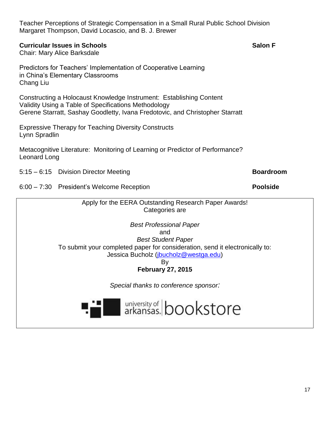| Teacher Perceptions of Strategic Compensation in a Small Rural Public School Division<br>Margaret Thompson, David Locascio, and B. J. Brewer                                                                                                                           |                  |
|------------------------------------------------------------------------------------------------------------------------------------------------------------------------------------------------------------------------------------------------------------------------|------------------|
| <b>Curricular Issues in Schools</b><br><b>Chair: Mary Alice Barksdale</b>                                                                                                                                                                                              | <b>Salon F</b>   |
| Predictors for Teachers' Implementation of Cooperative Learning<br>in China's Elementary Classrooms<br>Chang Liu                                                                                                                                                       |                  |
| Constructing a Holocaust Knowledge Instrument: Establishing Content<br>Validity Using a Table of Specifications Methodology<br>Gerene Starratt, Sashay Goodletty, Ivana Fredotovic, and Christopher Starratt                                                           |                  |
| <b>Expressive Therapy for Teaching Diversity Constructs</b><br>Lynn Spradlin                                                                                                                                                                                           |                  |
| Metacognitive Literature: Monitoring of Learning or Predictor of Performance?<br>Leonard Long                                                                                                                                                                          |                  |
| 5:15 - 6:15 Division Director Meeting                                                                                                                                                                                                                                  | <b>Boardroom</b> |
|                                                                                                                                                                                                                                                                        |                  |
| 6:00 - 7:30 President's Welcome Reception                                                                                                                                                                                                                              | <b>Poolside</b>  |
| Apply for the EERA Outstanding Research Paper Awards!<br>Categories are                                                                                                                                                                                                |                  |
| <b>Best Professional Paper</b><br>and<br><b>Best Student Paper</b><br>To submit your completed paper for consideration, send it electronically to:<br>Jessica Bucholz (jbucholz@westga.edu)<br>By<br><b>February 27, 2015</b><br>Special thanks to conference sponsor: |                  |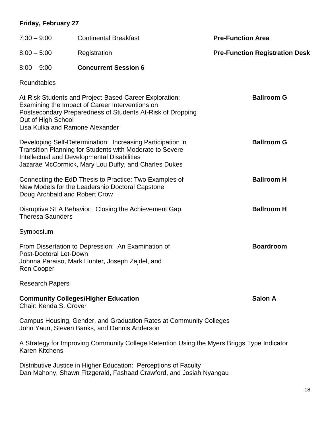# **Friday, February 27**

| $7:30 - 9:00$                                         | <b>Continental Breakfast</b>                                                                                                                                                                                                  | <b>Pre-Function Area</b>              |
|-------------------------------------------------------|-------------------------------------------------------------------------------------------------------------------------------------------------------------------------------------------------------------------------------|---------------------------------------|
| $8:00 - 5:00$                                         | Registration                                                                                                                                                                                                                  | <b>Pre-Function Registration Desk</b> |
| $8:00 - 9:00$                                         | <b>Concurrent Session 6</b>                                                                                                                                                                                                   |                                       |
| Roundtables                                           |                                                                                                                                                                                                                               |                                       |
| Out of High School<br>Lisa Kulka and Ramone Alexander | At-Risk Students and Project-Based Career Exploration:<br>Examining the Impact of Career Interventions on<br>Postsecondary Preparedness of Students At-Risk of Dropping                                                       | <b>Ballroom G</b>                     |
|                                                       | Developing Self-Determination: Increasing Participation in<br>Transition Planning for Students with Moderate to Severe<br>Intellectual and Developmental Disabilities<br>Jazarae McCormick, Mary Lou Duffy, and Charles Dukes | <b>Ballroom G</b>                     |
| Doug Archbald and Robert Crow                         | Connecting the EdD Thesis to Practice: Two Examples of<br>New Models for the Leadership Doctoral Capstone                                                                                                                     | <b>Ballroom H</b>                     |
| <b>Theresa Saunders</b>                               | Disruptive SEA Behavior: Closing the Achievement Gap                                                                                                                                                                          | <b>Ballroom H</b>                     |
| Symposium                                             |                                                                                                                                                                                                                               |                                       |
| Post-Doctoral Let-Down<br>Ron Cooper                  | From Dissertation to Depression: An Examination of<br>Johnna Paraiso, Mark Hunter, Joseph Zajdel, and                                                                                                                         | <b>Boardroom</b>                      |
| <b>Research Papers</b>                                |                                                                                                                                                                                                                               |                                       |
| Chair: Kenda S. Grover                                | <b>Community Colleges/Higher Education</b>                                                                                                                                                                                    | <b>Salon A</b>                        |
|                                                       | Campus Housing, Gender, and Graduation Rates at Community Colleges<br>John Yaun, Steven Banks, and Dennis Anderson                                                                                                            |                                       |
| <b>Karen Kitchens</b>                                 | A Strategy for Improving Community College Retention Using the Myers Briggs Type Indicator                                                                                                                                    |                                       |
|                                                       | Distributive Justice in Higher Education: Perceptions of Faculty                                                                                                                                                              |                                       |

Dan Mahony, Shawn Fitzgerald, Fashaad Crawford, and Josiah Nyangau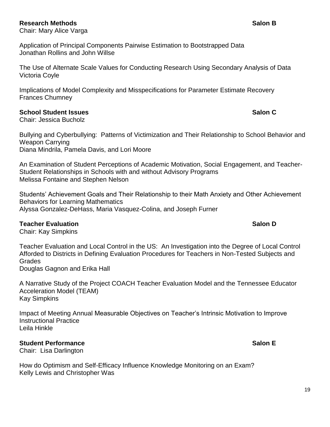#### **Research Methods Salon B**

Chair: Mary Alice Varga

Application of Principal Components Pairwise Estimation to Bootstrapped Data Jonathan Rollins and John Willse

The Use of Alternate Scale Values for Conducting Research Using Secondary Analysis of Data Victoria Coyle

Implications of Model Complexity and Misspecifications for Parameter Estimate Recovery Frances Chumney

#### **School Student Issues Salon C**

Chair: Jessica Bucholz

Bullying and Cyberbullying: Patterns of Victimization and Their Relationship to School Behavior and Weapon Carrying Diana Mindrila, Pamela Davis, and Lori Moore

An Examination of Student Perceptions of Academic Motivation, Social Engagement, and Teacher-Student Relationships in Schools with and without Advisory Programs Melissa Fontaine and Stephen Nelson

Students' Achievement Goals and Their Relationship to their Math Anxiety and Other Achievement Behaviors for Learning Mathematics Alyssa Gonzalez-DeHass, Maria Vasquez-Colina, and Joseph Furner

#### **Teacher Evaluation Salon D**

Chair: Kay Simpkins

Teacher Evaluation and Local Control in the US: An Investigation into the Degree of Local Control Afforded to Districts in Defining Evaluation Procedures for Teachers in Non-Tested Subjects and Grades Douglas Gagnon and Erika Hall

A Narrative Study of the Project COACH Teacher Evaluation Model and the Tennessee Educator Acceleration Model (TEAM) Kay Simpkins

Impact of Meeting Annual Measurable Objectives on Teacher's Intrinsic Motivation to Improve Instructional Practice Leila Hinkle

#### **Student Performance Salon E**

Chair: Lisa Darlington

How do Optimism and Self-Efficacy Influence Knowledge Monitoring on an Exam? Kelly Lewis and Christopher Was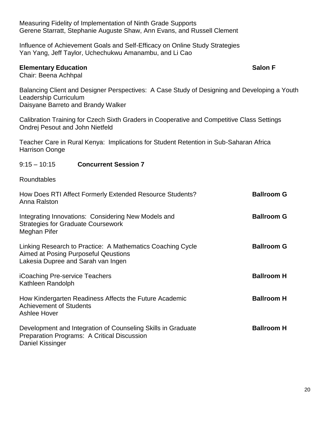Measuring Fidelity of Implementation of Ninth Grade Supports Gerene Starratt, Stephanie Auguste Shaw, Ann Evans, and Russell Clement

Influence of Achievement Goals and Self-Efficacy on Online Study Strategies Yan Yang, Jeff Taylor, Uchechukwu Amanambu, and Li Cao

#### **Elementary Education Salon F**

Chair: Beena Achhpal

Balancing Client and Designer Perspectives: A Case Study of Designing and Developing a Youth Leadership Curriculum Daisyane Barreto and Brandy Walker

Calibration Training for Czech Sixth Graders in Cooperative and Competitive Class Settings Ondrej Pesout and John Nietfeld

Teacher Care in Rural Kenya: Implications for Student Retention in Sub-Saharan Africa Harrison Oonge

#### 9:15 – 10:15 **Concurrent Session 7**

Roundtables

| How Does RTI Affect Formerly Extended Resource Students?<br>Anna Ralston                                                                 | <b>Ballroom G</b> |
|------------------------------------------------------------------------------------------------------------------------------------------|-------------------|
| Integrating Innovations: Considering New Models and<br><b>Strategies for Graduate Coursework</b><br>Meghan Pifer                         | <b>Ballroom G</b> |
| Linking Research to Practice: A Mathematics Coaching Cycle<br>Aimed at Posing Purposeful Qeustions<br>Lakesia Dupree and Sarah van Ingen | <b>Ballroom G</b> |
| <b>iCoaching Pre-service Teachers</b><br>Kathleen Randolph                                                                               | <b>Ballroom H</b> |
| How Kindergarten Readiness Affects the Future Academic<br><b>Achievement of Students</b><br><b>Ashlee Hover</b>                          | <b>Ballroom H</b> |
| Development and Integration of Counseling Skills in Graduate<br>Preparation Programs: A Critical Discussion<br>Daniel Kissinger          | <b>Ballroom H</b> |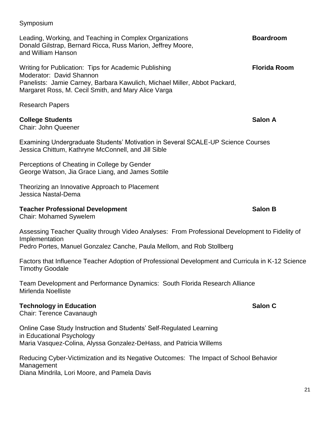Research Papers **College Students Salon A** Chair: John Queener

Panelists: Jamie Carney, Barbara Kawulich, Michael Miller, Abbot Packard,

Donald Gilstrap, Bernard Ricca, Russ Marion, Jeffrey Moore,

Examining Undergraduate Students' Motivation in Several SCALE-UP Science Courses Jessica Chittum, Kathryne McConnell, and Jill Sible

Perceptions of Cheating in College by Gender George Watson, Jia Grace Liang, and James Sottile

Margaret Ross, M. Cecil Smith, and Mary Alice Varga

Theorizing an Innovative Approach to Placement Jessica Nastal-Dema

#### **Teacher Professional Development Salon B**

Chair: Mohamed Sywelem

Assessing Teacher Quality through Video Analyses: From Professional Development to Fidelity of Implementation Pedro Portes, Manuel Gonzalez Canche, Paula Mellom, and Rob Stollberg

Factors that Influence Teacher Adoption of Professional Development and Curricula in K-12 Science Timothy Goodale

Team Development and Performance Dynamics: South Florida Research Alliance Mirlenda Noelliste

# **Technology in Education Salon C**

Chair: Terence Cavanaugh

Online Case Study Instruction and Students' Self-Regulated Learning in Educational Psychology Maria Vasquez-Colina, Alyssa Gonzalez-DeHass, and Patricia Willems

Reducing Cyber-Victimization and its Negative Outcomes: The Impact of School Behavior Management Diana Mindrila, Lori Moore, and Pamela Davis

and William Hanson

Moderator: David Shannon

Leading, Working, and Teaching in Complex Organizations **Boardroom**

Writing for Publication: Tips for Academic Publishing **Fig. 10.13 Florida Room**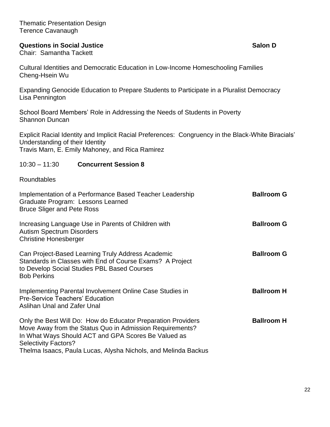#### **Questions in Social Justice Salon D Salon D Salon D**

Chair: Samantha Tackett

Cultural Identities and Democratic Education in Low-Income Homeschooling Families Cheng-Hsein Wu

Expanding Genocide Education to Prepare Students to Participate in a Pluralist Democracy Lisa Pennington

School Board Members' Role in Addressing the Needs of Students in Poverty Shannon Duncan

Explicit Racial Identity and Implicit Racial Preferences: Congruency in the Black-White Biracials' Understanding of their Identity Travis Marn, E. Emily Mahoney, and Rica Ramirez

#### 10:30 – 11:30 **Concurrent Session 8**

Roundtables

| Implementation of a Performance Based Teacher Leadership<br>Graduate Program: Lessons Learned<br><b>Bruce Sliger and Pete Ross</b>                                                                                                                                               | <b>Ballroom G</b> |
|----------------------------------------------------------------------------------------------------------------------------------------------------------------------------------------------------------------------------------------------------------------------------------|-------------------|
| Increasing Language Use in Parents of Children with<br><b>Autism Spectrum Disorders</b><br><b>Christine Honesberger</b>                                                                                                                                                          | <b>Ballroom G</b> |
| Can Project-Based Learning Truly Address Academic<br>Standards in Classes with End of Course Exams? A Project<br>to Develop Social Studies PBL Based Courses<br><b>Bob Perkins</b>                                                                                               | <b>Ballroom G</b> |
| Implementing Parental Involvement Online Case Studies in<br><b>Pre-Service Teachers' Education</b><br>Aslihan Unal and Zafer Unal                                                                                                                                                | <b>Ballroom H</b> |
| Only the Best Will Do: How do Educator Preparation Providers<br>Move Away from the Status Quo in Admission Requirements?<br>In What Ways Should ACT and GPA Scores Be Valued as<br><b>Selectivity Factors?</b><br>Thelma Isaacs, Paula Lucas, Alysha Nichols, and Melinda Backus | <b>Ballroom H</b> |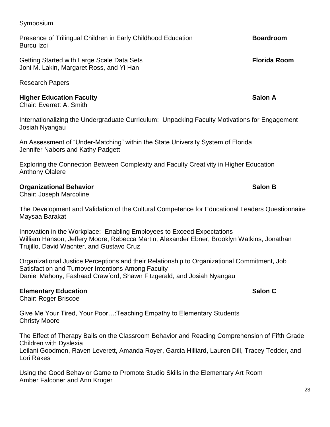#### Symposium

Presence of Trilingual Children in Early Childhood Education **Boardroom** Burcu Izci

Getting Started with Large Scale Data Sets **Florida Room** Joni M. Lakin, Margaret Ross, and Yi Han

Research Papers

#### **Higher Education Faculty Salon A**

Chair: Everrett A. Smith

Internationalizing the Undergraduate Curriculum: Unpacking Faculty Motivations for Engagement Josiah Nyangau

An Assessment of "Under-Matching" within the State University System of Florida Jennifer Nabors and Kathy Padgett

Exploring the Connection Between Complexity and Faculty Creativity in Higher Education Anthony Olalere

#### **Organizational Behavior Salon B**

Chair: Joseph Marcoline

The Development and Validation of the Cultural Competence for Educational Leaders Questionnaire Maysaa Barakat

Innovation in the Workplace: Enabling Employees to Exceed Expectations William Hanson, Jeffery Moore, Rebecca Martin, Alexander Ebner, Brooklyn Watkins, Jonathan Trujillo, David Wachter, and Gustavo Cruz

Organizational Justice Perceptions and their Relationship to Organizational Commitment, Job Satisfaction and Turnover Intentions Among Faculty Daniel Mahony, Fashaad Crawford, Shawn Fitzgerald, and Josiah Nyangau

#### **Elementary Education Salon C Salon C**

Chair: Roger Briscoe

Give Me Your Tired, Your Poor…:Teaching Empathy to Elementary Students Christy Moore

The Effect of Therapy Balls on the Classroom Behavior and Reading Comprehension of Fifth Grade Children with Dyslexia Leilani Goodmon, Raven Leverett, Amanda Royer, Garcia Hilliard, Lauren Dill, Tracey Tedder, and

Lori Rakes

Using the Good Behavior Game to Promote Studio Skills in the Elementary Art Room Amber Falconer and Ann Kruger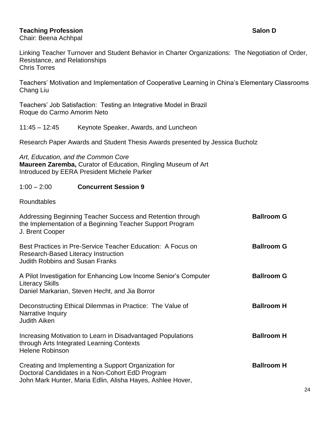#### **Teaching Profession Salon D**

Chair: Beena Achhpal

Linking Teacher Turnover and Student Behavior in Charter Organizations: The Negotiation of Order, Resistance, and Relationships Chris Torres

Teachers' Motivation and Implementation of Cooperative Learning in China's Elementary Classrooms Chang Liu

Teachers' Job Satisfaction: Testing an Integrative Model in Brazil Roque do Carmo Amorim Neto

11:45 – 12:45 Keynote Speaker, Awards, and Luncheon

Research Paper Awards and Student Thesis Awards presented by Jessica Bucholz

*Art, Education, and the Common Core* **Maureen Zaremba,** Curator of Education, Ringling Museum of Art Introduced by EERA President Michele Parker

#### 1:00 – 2:00 **Concurrent Session 9**

Roundtables

| Addressing Beginning Teacher Success and Retention through<br>the Implementation of a Beginning Teacher Support Program<br>J. Brent Cooper                            | <b>Ballroom G</b> |
|-----------------------------------------------------------------------------------------------------------------------------------------------------------------------|-------------------|
| Best Practices in Pre-Service Teacher Education: A Focus on<br>Research-Based Literacy Instruction<br><b>Judith Robbins and Susan Franks</b>                          | <b>Ballroom G</b> |
| A Pilot Investigation for Enhancing Low Income Senior's Computer<br><b>Literacy Skills</b><br>Daniel Markarian, Steven Hecht, and Jia Borror                          | <b>Ballroom G</b> |
| Deconstructing Ethical Dilemmas in Practice: The Value of<br>Narrative Inquiry<br><b>Judith Aiken</b>                                                                 | <b>Ballroom H</b> |
| Increasing Motivation to Learn in Disadvantaged Populations<br>through Arts Integrated Learning Contexts<br><b>Helene Robinson</b>                                    | <b>Ballroom H</b> |
| Creating and Implementing a Support Organization for<br>Doctoral Candidates in a Non-Cohort EdD Program<br>John Mark Hunter, Maria Edlin, Alisha Hayes, Ashlee Hover, | <b>Ballroom H</b> |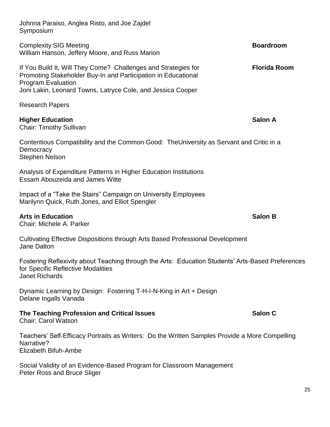| Johnna Paraiso, Anglea Risto, and Joe Zajdel<br>Symposium                                                                                                                                                                   |                     |  |
|-----------------------------------------------------------------------------------------------------------------------------------------------------------------------------------------------------------------------------|---------------------|--|
| <b>Complexity SIG Meeting</b><br>William Hanson, Jeffery Moore, and Russ Marion                                                                                                                                             | <b>Boardroom</b>    |  |
| If You Build It, Will They Come? Challenges and Strategies for<br>Promoting Stakeholder Buy-In and Participation in Educational<br><b>Program Evaluation</b><br>Joni Lakin, Leonard Towns, Latryce Cole, and Jessica Cooper | <b>Florida Room</b> |  |
| <b>Research Papers</b>                                                                                                                                                                                                      |                     |  |
| <b>Higher Education</b><br><b>Chair: Timothy Sullivan</b>                                                                                                                                                                   | <b>Salon A</b>      |  |
| Contentious Compatibility and the Common Good: The University as Servant and Critic in a<br>Democracy<br><b>Stephen Nelson</b>                                                                                              |                     |  |
| Analysis of Expenditure Patterns in Higher Education Institutions<br><b>Essam Abouzeida and James Witte</b>                                                                                                                 |                     |  |
| Impact of a "Take the Stairs" Campaign on University Employees<br>Marilynn Quick, Ruth Jones, and Elliot Spengler                                                                                                           |                     |  |
| <b>Arts in Education</b><br>Chair: Michele A. Parker                                                                                                                                                                        | <b>Salon B</b>      |  |
| Cultivating Effective Dispositions through Arts Based Professional Development<br><b>Jane Dalton</b>                                                                                                                        |                     |  |
| Fostering Reflexivity about Teaching through the Arts: Education Students' Arts-Based Preferences<br>for Specific Reflective Modalities<br><b>Janet Richards</b>                                                            |                     |  |
| Dynamic Learning by Design: Fostering T-H-I-N-King in Art + Design<br>Delane Ingalls Vanada                                                                                                                                 |                     |  |
| The Teaching Profession and Critical Issues<br><b>Chair: Carol Watson</b>                                                                                                                                                   | Salon C             |  |
| Teachers' Self-Efficacy Portraits as Writers: Do the Written Samples Provide a More Compelling<br>Narrative?                                                                                                                |                     |  |

Elizabeth Bifuh-Ambe

Social Validity of an Evidence-Based Program for Classroom Management Peter Ross and Bruce Sliger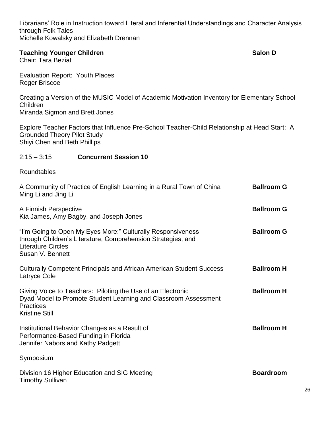Librarians' Role in Instruction toward Literal and Inferential Understandings and Character Analysis through Folk Tales Michelle Kowalsky and Elizabeth Drennan

#### **Teaching Younger Children Salon D Salon D**

Chair: Tara Beziat

Evaluation Report: Youth Places Roger Briscoe

Creating a Version of the MUSIC Model of Academic Motivation Inventory for Elementary School Children Miranda Sigmon and Brett Jones

Explore Teacher Factors that Influence Pre-School Teacher-Child Relationship at Head Start: A Grounded Theory Pilot Study Shiyi Chen and Beth Phillips

#### 2:15 – 3:15 **Concurrent Session 10**

Roundtables

| A Community of Practice of English Learning in a Rural Town of China<br>Ming Li and Jing Li                                                                                  | <b>Ballroom G</b> |
|------------------------------------------------------------------------------------------------------------------------------------------------------------------------------|-------------------|
| A Finnish Perspective<br>Kia James, Amy Bagby, and Joseph Jones                                                                                                              | <b>Ballroom G</b> |
| "I'm Going to Open My Eyes More:" Culturally Responsiveness<br>through Children's Literature, Comprehension Strategies, and<br><b>Literature Circles</b><br>Susan V. Bennett | <b>Ballroom G</b> |
| <b>Culturally Competent Principals and African American Student Success</b><br>Latryce Cole                                                                                  | <b>Ballroom H</b> |
| Giving Voice to Teachers: Piloting the Use of an Electronic<br>Dyad Model to Promote Student Learning and Classroom Assessment<br><b>Practices</b><br><b>Kristine Still</b>  | <b>Ballroom H</b> |
| Institutional Behavior Changes as a Result of<br>Performance-Based Funding in Florida<br>Jennifer Nabors and Kathy Padgett                                                   | <b>Ballroom H</b> |
| Symposium                                                                                                                                                                    |                   |
| Division 16 Higher Education and SIG Meeting<br><b>Timothy Sullivan</b>                                                                                                      | <b>Boardroom</b>  |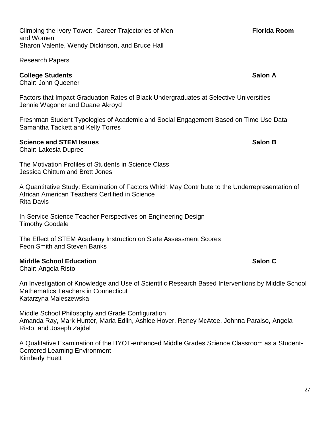Climbing the Ivory Tower: Career Trajectories of Men **Florida Room Florida Room** and Women Sharon Valente, Wendy Dickinson, and Bruce Hall

Research Papers

#### **College Students Salon A**

Chair: John Queener

Factors that Impact Graduation Rates of Black Undergraduates at Selective Universities Jennie Wagoner and Duane Akroyd

Freshman Student Typologies of Academic and Social Engagement Based on Time Use Data Samantha Tackett and Kelly Torres

#### **Science and STEM Issues Salon B Salon B Salon B SALON**

Chair: Lakesia Dupree

The Motivation Profiles of Students in Science Class Jessica Chittum and Brett Jones

A Quantitative Study: Examination of Factors Which May Contribute to the Underrepresentation of African American Teachers Certified in Science Rita Davis

In-Service Science Teacher Perspectives on Engineering Design Timothy Goodale

The Effect of STEM Academy Instruction on State Assessment Scores Feon Smith and Steven Banks

#### **Middle School Education Salon C**

Chair: Angela Risto

An Investigation of Knowledge and Use of Scientific Research Based Interventions by Middle School Mathematics Teachers in Connecticut Katarzyna Maleszewska

Middle School Philosophy and Grade Configuration Amanda Ray, Mark Hunter, Maria Edlin, Ashlee Hover, Reney McAtee, Johnna Paraiso, Angela Risto, and Joseph Zajdel

A Qualitative Examination of the BYOT-enhanced Middle Grades Science Classroom as a Student-Centered Learning Environment Kimberly Huett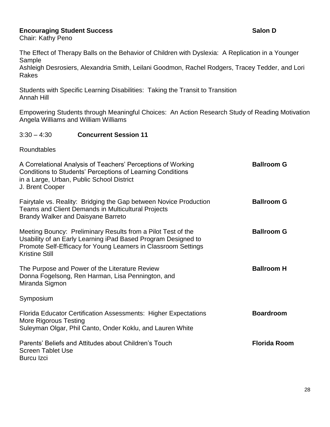#### **Encouraging Student Success Salon D Salon D Salon D**

Chair: Kathy Peno

The Effect of Therapy Balls on the Behavior of Children with Dyslexia: A Replication in a Younger Sample

Ashleigh Desrosiers, Alexandria Smith, Leilani Goodmon, Rachel Rodgers, Tracey Tedder, and Lori Rakes

Students with Specific Learning Disabilities: Taking the Transit to Transition Annah Hill

Empowering Students through Meaningful Choices: An Action Research Study of Reading Motivation Angela Williams and William Williams

#### 3:30 – 4:30 **Concurrent Session 11**

Roundtables

| A Correlational Analysis of Teachers' Perceptions of Working<br>Conditions to Students' Perceptions of Learning Conditions<br>in a Large, Urban, Public School District<br>J. Brent Cooper                               | <b>Ballroom G</b>   |
|--------------------------------------------------------------------------------------------------------------------------------------------------------------------------------------------------------------------------|---------------------|
| Fairytale vs. Reality: Bridging the Gap between Novice Production<br><b>Teams and Client Demands in Multicultural Projects</b><br><b>Brandy Walker and Daisyane Barreto</b>                                              | <b>Ballroom G</b>   |
| Meeting Bouncy: Preliminary Results from a Pilot Test of the<br>Usability of an Early Learning iPad Based Program Designed to<br>Promote Self-Efficacy for Young Learners in Classroom Settings<br><b>Kristine Still</b> | <b>Ballroom G</b>   |
| The Purpose and Power of the Literature Review<br>Donna Fogelsong, Ren Harman, Lisa Pennington, and<br>Miranda Sigmon                                                                                                    | <b>Ballroom H</b>   |
| Symposium                                                                                                                                                                                                                |                     |
| <b>Florida Educator Certification Assessments: Higher Expectations</b><br>More Rigorous Testing<br>Suleyman Olgar, Phil Canto, Onder Koklu, and Lauren White                                                             | <b>Boardroom</b>    |
| Parents' Beliefs and Attitudes about Children's Touch<br><b>Screen Tablet Use</b><br><b>Burcu</b> Izci                                                                                                                   | <b>Florida Room</b> |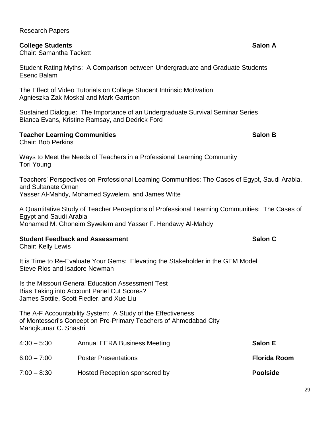### Research Papers

### **College Students Salon A**

Chair: Samantha Tackett

Student Rating Myths: A Comparison between Undergraduate and Graduate Students Esenc Balam

The Effect of Video Tutorials on College Student Intrinsic Motivation Agnieszka Zak-Moskal and Mark Garrison

Sustained Dialogue: The Importance of an Undergraduate Survival Seminar Series Bianca Evans, Kristine Ramsay, and Dedrick Ford

### **Teacher Learning Communities Salon B Salon B Salon B**

Chair: Bob Perkins

Ways to Meet the Needs of Teachers in a Professional Learning Community Tori Young

Teachers' Perspectives on Professional Learning Communities: The Cases of Egypt, Saudi Arabia, and Sultanate Oman Yasser Al-Mahdy, Mohamed Sywelem, and James Witte

A Quantitative Study of Teacher Perceptions of Professional Learning Communities: The Cases of Egypt and Saudi Arabia Mohamed M. Ghoneim Sywelem and Yasser F. Hendawy Al-Mahdy

#### **Student Feedback and Assessment Salon C**

Chair: Kelly Lewis

It is Time to Re-Evaluate Your Gems: Elevating the Stakeholder in the GEM Model Steve Rios and Isadore Newman

Is the Missouri General Education Assessment Test Bias Taking into Account Panel Cut Scores? James Sottile, Scott Fiedler, and Xue Liu

The A-F Accountability System: A Study of the Effectiveness of Montessori's Concept on Pre-Primary Teachers of Ahmedabad City Manojkumar C. Shastri

| $4:30 - 5:30$ | <b>Annual EERA Business Meeting</b> | <b>Salon E</b>      |
|---------------|-------------------------------------|---------------------|
| $6:00 - 7:00$ | <b>Poster Presentations</b>         | <b>Florida Room</b> |
| $7:00 - 8:30$ | Hosted Reception sponsored by       | <b>Poolside</b>     |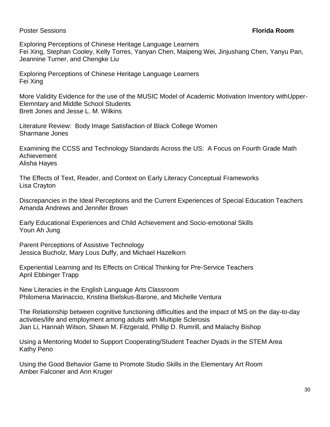#### Poster Sessions **Florida Room**

Exploring Perceptions of Chinese Heritage Language Learners Fei Xing, Stephan Cooley, Kelly Torres, Yanyan Chen, Maipeng Wei, Jinjushang Chen, Yanyu Pan, Jeannine Turner, and Chengke Liu

Exploring Perceptions of Chinese Heritage Language Learners Fei Xing

More Validity Evidence for the use of the MUSIC Model of Academic Motivation Inventory withUpper-Elemntary and Middle School Students Brett Jones and Jesse L. M. Wilkins

Literature Review: Body Image Satisfaction of Black College Women Sharmane Jones

Examining the CCSS and Technology Standards Across the US: A Focus on Fourth Grade Math Achievement Alisha Hayes

The Effects of Text, Reader, and Context on Early Literacy Conceptual Frameworks Lisa Crayton

Discrepancies in the Ideal Perceptions and the Current Experiences of Special Education Teachers Amanda Andrews and Jennifer Brown

Early Educational Experiences and Child Achievement and Socio-emotional Skills Youn Ah Jung

Parent Perceptions of Assistive Technology Jessica Bucholz, Mary Lous Duffy, and Michael Hazelkorn

Experiential Learning and Its Effects on Critical Thinking for Pre-Service Teachers April Ebbinger Trapp

New Literacies in the English Language Arts Classroom Philomena Marinaccio, Kristina Bielskus-Barone, and Michelle Ventura

The Relationship between cognitive functioning difficulties and the impact of MS on the day-to-day activities/life and employment among adults with Multiple Sclerosis Jian Li, Hannah Wilson, Shawn M. Fitzgerald, Phillip D. Rumrill, and Malachy Bishop

Using a Mentoring Model to Support Cooperating/Student Teacher Dyads in the STEM Area Kathy Peno

Using the Good Behavior Game to Promote Studio Skills in the Elementary Art Room Amber Falconer and Ann Kruger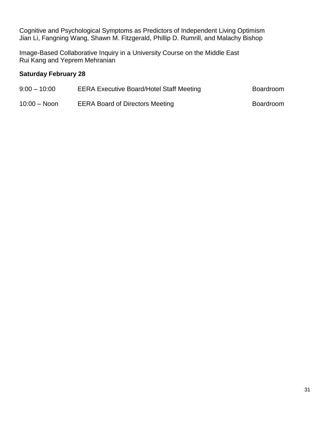Cognitive and Psychological Symptoms as Predictors of Independent Living Optimism Jian Li, Fangning Wang, Shawn M. Fitzgerald, Phillip D. Rumrill, and Malachy Bishop

Image-Based Collaborative Inquiry in a University Course on the Middle East Rui Kang and Yeprem Mehranian

#### **Saturday February 28**

| $9:00 - 10:00$  | <b>EERA Executive Board/Hotel Staff Meeting</b> | Boardroom |
|-----------------|-------------------------------------------------|-----------|
| $10:00 - N$ oon | <b>EERA Board of Directors Meeting</b>          | Boardroom |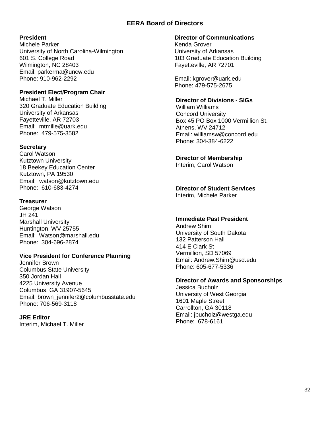#### **EERA Board of Directors**

#### **President**

Michele Parker University of North Carolina-Wilmington 601 S. College Road Wilmington, NC 28403 Email: parkerma@uncw.edu Phone: 910-962-2292

#### **President Elect/Program Chair**

Michael T. Miller 320 Graduate Education Building University of Arkansas Fayetteville, AR 72703 Email: mtmille@uark.edu Phone: 479-575-3582

#### **Secretary**

Carol Watson Kutztown University 18 Beekey Education Center Kutztown, PA 19530 Email: watson@kutztown.edu Phone: 610-683-4274

#### **Treasurer**

George Watson JH 241 Marshall University Huntington, WV 25755 Email: Watson@marshall.edu Phone: 304-696-2874

#### **Vice President for Conference Planning**

Jennifer Brown Columbus State University 350 Jordan Hall 4225 University Avenue Columbus, GA 31907-5645 Email: [brown\\_jennifer2@columbusstate.edu](mailto:brown_jennifer2@columbusstate.edu) Phone: 706-569-3118

#### **JRE Editor**

Interim, Michael T. Miller

#### **Director of Communications**

Kenda Grover University of Arkansas 103 Graduate Education Building Fayetteville, AR 72701

Email: [kgrover@uark.edu](mailto:kgrover@uark.edu) Phone: 479-575-2675

#### **Director of Divisions - SIGs**

William Williams Concord University Box 45 PO Box 1000 Vermillion St. Athens, WV 24712 Email: [williamsw@concord.edu](mailto:williamsw@concord.edu) Phone: 304-384-6222

#### **Director of Membership**

Interim, Carol Watson

#### **Director of Student Services**

Interim, Michele Parker

#### **Immediate Past President**

Andrew Shim University of South Dakota 132 Patterson Hall 414 E Clark St Vermillion, SD 57069 Email: [Andrew.Shim@usd.edu](mailto:Andrew.Shim@usd.edu) Phone: 605-677-5336

#### **Director of Awards and Sponsorships**

Jessica Bucholz University of West Georgia 1601 Maple Street Carrollton, GA 30118 Email: [jbucholz@westga.edu](mailto:jbucholz@westga.edu) Phone: 678-6161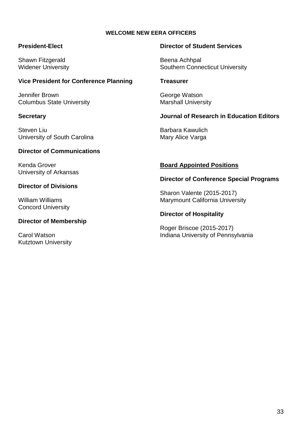#### **WELCOME NEW EERA OFFICERS**

#### **President-Elect**

Shawn Fitzgerald Widener University

#### **Vice President for Conference Planning**

Jennifer Brown Columbus State University

#### **Secretary**

Steven Liu University of South Carolina

#### **Director of Communications**

Kenda Grover University of Arkansas

#### **Director of Divisions**

William Williams Concord University

#### **Director of Membership**

Carol Watson Kutztown University

#### **Director of Student Services**

Beena Achhpal Southern Connecticut University

#### **Treasurer**

George Watson Marshall University

#### **Journal of Research in Education Editors**

Barbara Kawulich Mary Alice Varga

#### **Board Appointed Positions**

#### **Director of Conference Special Programs**

Sharon Valente (2015-2017) Marymount California University

#### **Director of Hospitality**

Roger Briscoe (2015-2017) Indiana University of Pennsylvania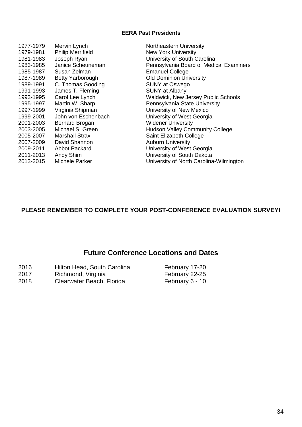#### **EERA Past Presidents**

1977-1979 Mervin Lynch Northeastern University 1979-1981 Philip Merrifield New York University 1981-1983 Joseph Ryan University of South Carolina 1985-1987 Susan Zelman Emanuel College 1987-1989 Betty Yarborough Old Dominion University 1989-1991 C. Thomas Gooding SUNY at Oswego 1991-1993 James T. Fleming SUNY at Albany 1995-1997 Martin W. Sharp **Pennsylvania State University** 1997-1999 Virginia Shipman University of New Mexico 1999-2001 John von Eschenbach University of West Georgia 2001-2003 Bernard Brogan Widener University 2003-2005 Michael S. Green Hudson Valley Community College 2005-2007 Marshall Strax Saint Elizabeth College 2007-2009 David Shannon **Auburn University** 2009-2011 Abbot Packard University of West Georgia 2011-2013 Andy Shim University of South Dakota

1983-1985 Janice Scheuneman Pennsylvania Board of Medical Examiners 1993-1995 Carol Lee Lynch Waldwick, New Jersey Public Schools 2013-2015 Michele Parker University of North Carolina-Wilmington

#### **PLEASE REMEMBER TO COMPLETE YOUR POST-CONFERENCE EVALUATION SURVEY!**

## **Future Conference Locations and Dates**

| 2016 | Hilton Head, South Carolina | February 17-20  |
|------|-----------------------------|-----------------|
| 2017 | Richmond, Virginia          | February 22-25  |
| 2018 | Clearwater Beach, Florida   | February 6 - 10 |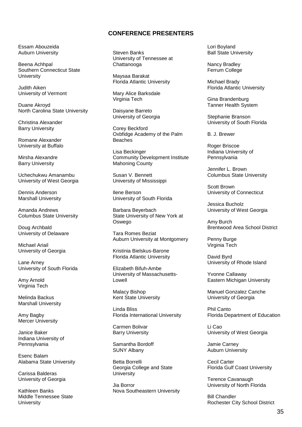#### **CONFERENCE PRESENTERS**

Essam Abouzeida Auburn University

Beena Achhpal Southern Connecticut State University

Judith Aiken University of Vermont

Duane Akroyd North Carolina State University

Christina Alexander Barry University

Romane Alexander University at Buffalo

Mirsha Alexandre Barry University

Uchechukwu Amanambu University of West Georgia

Dennis Anderson Marshall University

Amanda Andrews Columbus State University

Doug Archbald University of Delaware

Michael Ariail University of Georgia

Lane Arney University of South Florida

Amy Arnold Virginia Tech

Melinda Backus Marshall University

Amy Bagby Mercer University

Janice Baker Indiana University of Pennsylvania

Esenc Balam Alabama State University

Carissa Balderas University of Georgia

Kathleen Banks Middle Tennessee State **University** 

Steven Banks University of Tennessee at Chattanooga

Maysaa Barakat Florida Atlantic University

Mary Alice Barksdale Virginia Tech

Daisyane Barreto University of Georgia

Corey Beckford Oxbfidge Academy of the Palm Beaches

Lisa Beckinger Community Development Institute Mahoning County

Susan V. Bennett University of Mississippi

Ilene Berson University of South Florida

Barbara Beyerbach State University of New York at Oswego

Tara Romes Beziat Auburn University at Montgomery

Kristinia Bielskus-Barone Florida Atlantic University

Elizabeth Bifuh-Ambe University of Massachusetts-Lowell

Malacy Bishop Kent State University

Linda Bliss Florida International University

Carmen Bolivar Barry University

Samantha Bordoff SUNY Albany

Betta Borrelli Georgia College and State **University** 

Jia Borror Nova Southeastern University Lori Boyland Ball State University

Nancy Bradley Ferrum College

Michael Brady Florida Atlantic University

Gina Brandenburg Tanner Health System

Stephanie Branson University of South Florida

B. J. Brewer

Roger Briscoe Indiana University of Pennsylvania

Jennifer L. Brown Columbus State University

Scott Brown University of Connecticut

Jessica Bucholz University of West Georgia

Amy Burch Brentwood Area School District

Penny Burge Virginia Tech

David Byrd University of Rhode Island

Yvonne Callaway Eastern Michigan University

Manuel Gonzalez Canche University of Georgia

Phil Canto Florida Department of Education

Li Cao University of West Georgia

Jamie Carney Auburn University

Cecil Carter Florida Gulf Coast University

Terence Cavanaugh University of North Florida

Bill Chandler Rochester City School District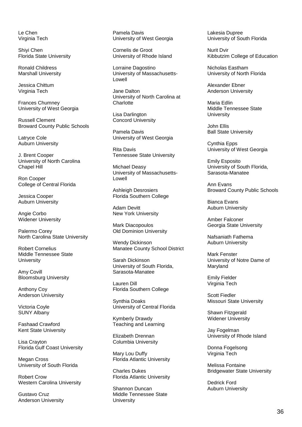Le Chen Virginia Tech

Shiyi Chen Florida State University

Ronald Childress Marshall University

Jessica Chittum Virginia Tech

Frances Chumney University of West Georgia

Russell Clement Broward County Public Schools

Latryce Cole Auburn University

J. Brent Cooper University of North Carolina Chapel Hill

Ron Cooper College of Central Florida

Jessica Cooper Auburn University

Angie Corbo Widener University

Palermo Corey North Carolina State University

Robert Cornelius Middle Tennessee State **University** 

Amy Covill Bloomsburg University

Anthony Coy Anderson University

Victoria Coyle SUNY Albany

Fashaad Crawford Kent State University

Lisa Crayton Florida Gulf Coast University

Megan Cross University of South Florida

Robert Crow Western Carolina University

Gustavo Cruz Anderson University Pamela Davis University of West Georgia

Cornelis de Groot University of Rhode Island

Lorraine Dagostino University of Massachusetts-Lowell

Jane Dalton University of North Carolina at **Charlotte** 

Lisa Darlington Concord University

Pamela Davis University of West Georgia

Rita Davis Tennessee State University

Michael Deasy University of Massachusetts-Lowell

Ashleigh Desrosiers Florida Southern College

Adam Devitt New York University

Mark Diacopoulos Old Dominion University

Wendy Dickinson Manatee County School District

Sarah Dickinson University of South Florida, Sarasota-Manatee

Lauren Dill Florida Southern College

Synthia Doaks University of Central Florida

Kymberly Drawdy Teaching and Learning

Elizabeth Drennan Columbia University

Mary Lou Duffy Florida Atlantic University

Charles Dukes Florida Atlantic University

Shannon Duncan Middle Tennessee State **University** 

Lakesia Dupree University of South Florida

Nurit Dvir Kibbutzim College of Education

Nicholas Eastham University of North Florida

Alexander Ebner Anderson University

Maria Edlin Middle Tennessee State **University** 

John Ellis Ball State University

Cynthia Epps University of West Georgia

Emily Esposito University of South Florida, Sarasota-Manatee

Ann Evans Broward County Public Schools

Bianca Evans Auburn University

Amber Falconer Georgia State University

Nafsaniath Fathema Auburn University

Mark Fenster University of Notre Dame of Maryland

Emily Fielder Virginia Tech

Scott Fiedler Missouri State University

Shawn Fitzgerald Widener University

Jay Fogelman University of Rhode Island

Donna Fogelsong Virginia Tech

Melissa Fontaine Bridgewater State University

Dedrick Ford Auburn University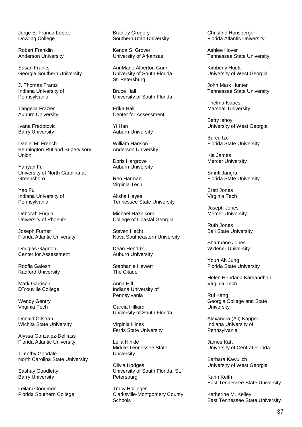Jorge E. Franco-Lopez Dowling College

Robert Franklin Anderson University

Susan Franks Georgia Southern University

J. Thomas Frantz Indiana University of Pennsylvania

Tangelia Frazier Auburn University

Ivana Fredotovic Barry University

Daniel M. French Bennington-Rutland Supervisory Union

Yanyan Fu University of North Carolina at Greensboro

Yao Fu Indiana University of Pennsylvania

Deborah Fuqua University of Phoenix

Joseph Furner Florida Atlantic University

Douglas Gagnon Center for Assessment

Roofia Galeshi Radford University

Mark Garrison D'Youville College

Wendy Gentry Virginia Tech

Donald Gilstrap Wichita State University

Alyssa Gonzalez-DeHass Florida Atlantic University

Timothy Goodale North Carolina State University

Sashay Goodletty Barry University

Leilani Goodmon Florida Southern College Bradley Gregory Southern Utah University

Kenda S. Grover University of Arkansas

AnnMarie Alberton Gunn University of South Florida St. Petersburg

Bruce Hall University of South Florida

Erika Hall Center for Assessment

Yi Han Auburn University

William Hanson Anderson University

Doris Hargrove Auburn University

Ren Harman Virginia Tech

Alisha Hayes Tennessee State University

Michael Hazelkorn College of Coastal Georgia

Steven Hecht Nova Southeastern University

Dean Hendrix Auburn University

Stephanie Hewett The Citadel

Anna Hill Indiana University of Pennsylvania

Garcia Hilliard University of South Florida

Virginia Hines Ferris State University

Leila Hinkle Middle Tennessee State **University** 

Olivia Hodges University of South Florida, St. Petersburg

Tracy Hollinger Clarksville-Montgomery County Schools

Christine Honsberger Florida Atlantic University

Ashlee Hover Tennessee State University

Kimberly Huett University of West Georgia

John Mark Hunter Tennessee State University

Thelma Isaacs Marshall University

Betty Ishoy University of West Georgia

Burcu Izci Florida State University

Kia James Mercer University

Smriti Jangra Florida State University

Brett Jones Virginia Tech

Joseph Jones Mercer University

Ruth Jones Ball State University

Sharmane Jones Widener University

Youn Ah Jung Florida State University

Helen Hendaria Kamandhari Virginia Tech

Rui Kang Georgia College and State **University** 

Alexandra (Ali) Kappel Indiana University of Pennsylvania

James Katt University of Central Florida

Barbara Kawulich University of West Georgia

Karin Keith East Tennessee State University

Katherine M. Kelley East Tennessee State University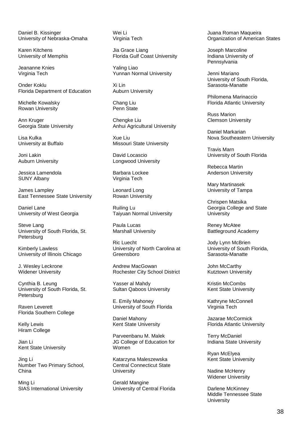Daniel B. Kissinger University of Nebraska-Omaha

Karen Kitchens University of Memphis

Jeananne Knies Virginia Tech

Onder Koklu Florida Department of Education

Michelle Kowalsky Rowan University

Ann Kruger Georgia State University

Lisa Kulka University at Buffalo

Joni Lakin Auburn University

Jessica Lamendola SUNY Albany

James Lampley East Tennessee State University

Daniel Lane University of West Georgia

Steve Lang University of South Florida, St. **Petersburg** 

Kimberly Lawless University of Illinois Chicago

J. Wesley Leckrone Widener University

Cynthia B. Leung University of South Florida, St. **Petersburg** 

Raven Leverett Florida Southern College

Kelly Lewis Hiram College

Jian Li Kent State University

Jing Li Number Two Primary School, China

Ming Li SIAS International University Wei Li Virginia Tech

Jia Grace Liang Florida Gulf Coast University

Yaling Liao Yunnan Normal University

Xi Lin Auburn University

Chang Liu Penn State

Chengke Liu Anhui Agricultural University

Xue Liu Missouri State University

David Locascio Longwood University

Barbara Lockee Virginia Tech

Leonard Long Rowan University

Ruiling Lu Taiyuan Normal University

Paula Lucas Marshall University

Ric Luecht University of North Carolina at Greensboro

Andrew MacGowan Rochester City School District

Yasser al Mahdy Sultan Qaboos University

E. Emily Mahoney University of South Florida

Daniel Mahony Kent State University

Parveenbanu M. Malek JG College of Education for Women

Katarzyna Maleszewska Central Connecticut State **University** 

Gerald Mangine University of Central Florida Juana Roman Maqueira Organization of American States

Joseph Marcoline Indiana University of Pennsylvania

Jenni Mariano University of South Florida, Sarasota-Manatte

Philomena Marinaccio Florida Atlantic University

Russ Marion Clemson University

Daniel Markarian Nova Southeastern University

Travis Marn University of South Florida

Rebecca Martin Anderson University

Mary Martinasek University of Tampa

Chrispen Matsika Georgia College and State **University** 

Reney McAtee Battleground Academy

Jody Lynn McBrien University of South Florida, Sarasota-Manatte

John McCarthy Kutztown University

Kristin McCombs Kent State University

Kathryne McConnell Virginia Tech

Jazarae McCormick Florida Atlantic University

Terry McDaniel Indiana State University

Ryan McElyea Kent State University

Nadine McHenry Widener University

Darlene McKinney Middle Tennessee State **University**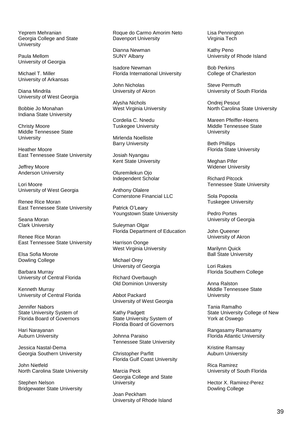Yeprem Mehranian Georgia College and State **University** 

Paula Mellom University of Georgia

Michael T. Miller University of Arkansas

Diana Mindrila University of West Georgia

Bobbie Jo Monahan Indiana State University

Christy Moore Middle Tennessee State **University** 

Heather Moore East Tennessee State University

Jeffrey Moore Anderson University

Lori Moore University of West Georgia

Renee Rice Moran East Tennessee State University

Seana Moran Clark University

Renee Rice Moran East Tennessee State University

Elsa Sofia Morote Dowling College

Barbara Murray University of Central Florida

Kenneth Murray University of Central Florida

Jennifer Nabors State University System of Florida Board of Governors

Hari Narayanan Auburn University

Jessica Nastal-Dema Georgia Southern University

John Nietfeld North Carolina State University

Stephen Nelson Bridgewater State University Roque do Carmo Amorim Neto Davenport University

Dianna Newman SUNY Albany

Isadore Newman Florida International University

John Nicholas University of Akron

Alysha Nichols West Virginia University

Cordelia C. Nnedu Tuskegee University

Mirlenda Noelliste Barry University

Josiah Nyangau Kent State University

Oluremilekun Ojo Independent Scholar

Anthony Olalere Cornerstone Financial LLC

Patrick O'Leary Youngstown State University

Suleyman Olgar Florida Department of Education

Harrison Oonge West Virginia University

Michael Orey University of Georgia

Richard Overbaugh Old Dominion University

Abbot Packard University of West Georgia

Kathy Padgett State University System of Florida Board of Governors

Johnna Paraiso Tennessee State University

Christopher Parfitt Florida Gulf Coast University

Marcia Peck Georgia College and State **University** 

Joan Peckham University of Rhode Island Lisa Pennington Virginia Tech

Kathy Peno University of Rhode Island

Bob Perkins College of Charleston

Steve Permuth University of South Florida

Ondrej Pesout North Carolina State University

Mareen Pfeiffer-Hoens Middle Tennessee State **University** 

Beth Phillips Florida State University

Meghan Pifer Widener University

Richard Pitcock Tennessee State University

Sola Popoola Tuskegee University

Pedro Portes University of Georgia

John Queener University of Akron

Marilynn Quick Ball State University

Lori Rakes Florida Southern College

Anna Ralston Middle Tennessee State **University** 

Tania Ramalho State University College of New York at Oswego

Rangasamy Ramasamy Florida Atlantic University

Kristine Ramsay Auburn University

Rica Ramirez University of South Florida

Hector X. Ramirez-Perez Dowling College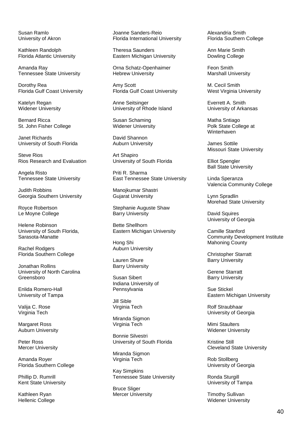Susan Ramlo University of Akron

Kathleen Randolph Florida Atlantic University

Amanda Ray Tennessee State University

Dorothy Rea Florida Gulf Coast University

Katelyn Regan Widener University

Bernard Ricca St. John Fisher College

Janet Richards University of South Florida

Steve Rios Rios Research and Evaluation

Angela Risto Tennessee State University

Judith Robbins Georgia Southern University

Royce Robertson Le Moyne College

Helene Robinson University of South Florida, Sarasota-Manatte

Rachel Rodgers Florida Southern College

Jonathan Rollins University of North Carolina Greensboro

Enlida Romero-Hall University of Tampa

Valija C. Rose Virginia Tech

Margaret Ross Auburn University

Peter Ross Mercer University

Amanda Royer Florida Southern College

Phillip D. Rumrill Kent State University

Kathleen Ryan Hellenic College Joanne Sanders-Reio Florida International University

Theresa Saunders Eastern Michigan University

Orna Schatz-Openhaimer Hebrew University

Amy Scott Florida Gulf Coast University

Anne Seitsinger University of Rhode Island

Susan Schaming Widener University

David Shannon Auburn University

Art Shapiro University of South Florida

Priti R. Sharma East Tennessee State University

Manojkumar Shastri Gujarat University

Stephanie Auguste Shaw Barry University

Bette Shellhorn Eastern Michigan University

Hong Shi Auburn University

Lauren Shure Barry University

Susan Sibert Indiana University of Pennsylvania

Jill Sible Virginia Tech

Miranda Sigmon Virginia Tech

Bonnie Silvestri University of South Florida

Miranda Sigmon Virginia Tech

Kay Simpkins Tennessee State University

Bruce Sliger Mercer University Alexandria Smith Florida Southern College

Ann Marie Smith Dowling College

Feon Smith Marshall University

M. Cecil Smith West Virginia University

Everrett A. Smith University of Arkansas

Matha Sntiago Polk State College at Winterhaven

James Sottile Missouri State University

Elliot Spengler Ball State University

Linda Speranza Valencia Community College

Lynn Spradlin Morehad State University

David Squires University of Georgia

Camille Stanford Community Development Institute Mahoning County

Christopher Starratt Barry University

Gerene Starratt Barry University

Sue Stickel Eastern Michigan University

Rolf Straubhaar University of Georgia

Mimi Staulters Widener University

Kristine Still Cleveland State University

Rob Stollberg University of Georgia

Ronda Sturgill University of Tampa

Timothy Sullivan Widener University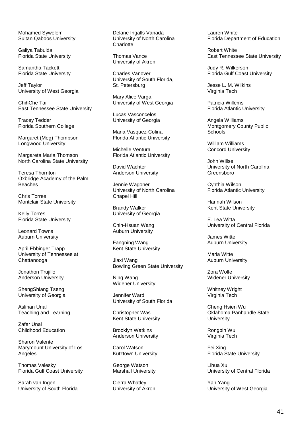Mohamed Sywelem Sultan Qaboos University

Galiya Tabulda Florida State University

Samantha Tackett Florida State University

Jeff Taylor University of West Georgia

ChihChe Tai East Tennessee State University

Tracey Tedder Florida Southern College

Margaret (Meg) Thompson Longwood University

Margareta Maria Thomson North Carolina State University

Teresa Thornton Oxbridge Academy of the Palm **Beaches** 

Chris Torres Montclair State University

Kelly Torres Florida State University

Leonard Towns Auburn University

April Ebbinger Trapp University of Tennessee at **Chattanooga** 

Jonathon Trujillo Anderson University

ShengShiang Tseng University of Georgia

Aslihan Unal Teaching and Learning

Zafer Unal Childhood Education

Sharon Valente Marymount University of Los Angeles

Thomas Valesky Florida Gulf Coast University

Sarah van Ingen University of South Florida Delane Ingalls Vanada University of North Carolina **Charlotte** 

Thomas Vance University of Akron

Charles Vanover University of South Florida, St. Petersburg

Mary Alice Varga University of West Georgia

Lucas Vasconcelos University of Georgia

Maria Vasquez-Colina Florida Atlantic University

Michelle Ventura Florida Atlantic University

David Wachter Anderson University

Jennie Wagoner University of North Carolina Chapel Hill

Brandy Walker University of Georgia

Chih-Hsuan Wang Auburn University

Fangning Wang Kent State University

Jiaxi Wang Bowling Green State University

Ning Wang Widener University

Jennifer Ward University of South Florida

Christopher Was Kent State University

Brooklyn Watkins Anderson University

Carol Watson Kutztown University

George Watson Marshall University

Cierra Whatley University of Akron Lauren White Florida Department of Education

Robert White East Tennessee State University

Judy R. Wilkerson Florida Gulf Coast University

Jesse L. M. Wilkins Virginia Tech

Patricia Willems Florida Atlantic University

Angela Williams Montgomery County Public **Schools** 

William Williams Concord University

John Willse University of North Carolina Greensboro

Cynthia Wilson Florida Atlantic University

Hannah Wilson Kent State University

E. Lea Witta University of Central Florida

James Witte Auburn University

Maria Witte Auburn University

Zora Wolfe Widener University

Whitney Wright Virginia Tech

Cheng Hsien Wu Oklahoma Panhandle State **University** 

Rongbin Wu Virginia Tech

Fei Xing Florida State University

Lihua Xu University of Central Florida

Yan Yang University of West Georgia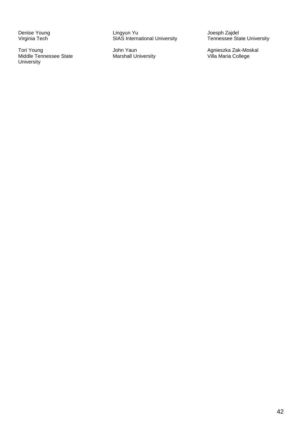Denise Young Virginia Tech

Tori Young Middle Tennessee State **University** 

Lingyun Yu SIAS International University

John Yaun Marshall University Joesph Zajdel Tennessee State University

Agnieszka Zak-Moskal Villa Maria College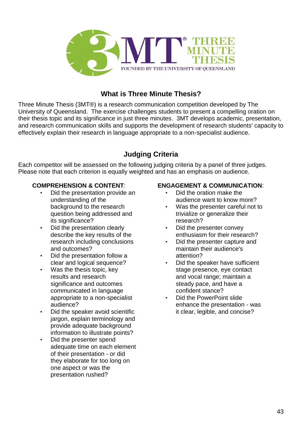

# **What is Three Minute Thesis?**

Three Minute Thesis (3MT®) is a research communication competition developed by The University of Queensland. The exercise challenges students to present a compelling oration on their thesis topic and its significance in just three minutes. 3MT develops academic, presentation, and research communication skills and supports the development of research students' capacity to effectively explain their research in language appropriate to a non-specialist audience.

# **Judging Criteria**

Each competitor will be assessed on the following judging criteria by a panel of three judges. Please note that each criterion is equally weighted and has an emphasis on audience.

### **COMPREHENSION & CONTENT**:

- Did the presentation provide an understanding of the background to the research question being addressed and its significance?
- Did the presentation clearly describe the key results of the research including conclusions and outcomes?
- Did the presentation follow a clear and logical sequence?
- Was the thesis topic, key results and research significance and outcomes communicated in language appropriate to a non-specialist audience?
- Did the speaker avoid scientific jargon, explain terminology and provide adequate background information to illustrate points?
- Did the presenter spend adequate time on each element of their presentation - or did they elaborate for too long on one aspect or was the presentation rushed?

#### **ENGAGEMENT & COMMUNICATION**:

- Did the oration make the audience want to know more?
- Was the presenter careful not to trivialize or generalize their research?
- Did the presenter convey enthusiasm for their research?
- Did the presenter capture and maintain their audience's attention?
- Did the speaker have sufficient stage presence, eye contact and vocal range; maintain a steady pace, and have a confident stance?
- Did the PowerPoint slide enhance the presentation - was it clear, legible, and concise?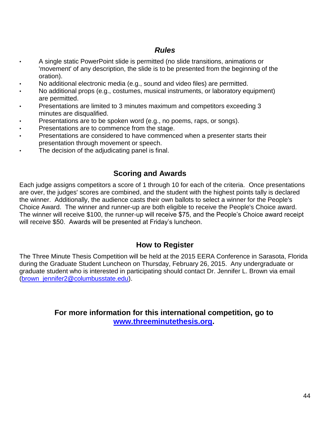# *Rules*

- A single static PowerPoint slide is permitted (no slide transitions, animations or 'movement' of any description, the slide is to be presented from the beginning of the oration).
- No additional electronic media (e.g., sound and video files) are permitted.
- No additional props (e.g., costumes, musical instruments, or laboratory equipment) are permitted.
- Presentations are limited to 3 minutes maximum and competitors exceeding 3 minutes are disqualified.
- Presentations are to be spoken word (e.g., no poems, raps, or songs).
- Presentations are to commence from the stage.
- Presentations are considered to have commenced when a presenter starts their presentation through movement or speech.
- The decision of the adjudicating panel is final.

# **Scoring and Awards**

Each judge assigns competitors a score of 1 through 10 for each of the criteria. Once presentations are over, the judges' scores are combined, and the student with the highest points tally is declared the winner. Additionally, the audience casts their own ballots to select a winner for the People's Choice Award. The winner and runner-up are both eligible to receive the People's Choice award. The winner will receive \$100, the runner-up will receive \$75, and the People's Choice award receipt will receive \$50. Awards will be presented at Friday's luncheon.

## **How to Register**

The Three Minute Thesis Competition will be held at the 2015 EERA Conference in Sarasota, Florida during the Graduate Student Luncheon on Thursday, February 26, 2015. Any undergraduate or graduate student who is interested in participating should contact Dr. Jennifer L. Brown via email [\(brown\\_jennifer2@columbusstate.edu\)](mailto:brown_jennifer2@columbusstate.edu).

> **For more information for this international competition, go to [www.threeminutethesis.org.](http://www.threeminutethesis.org/)**